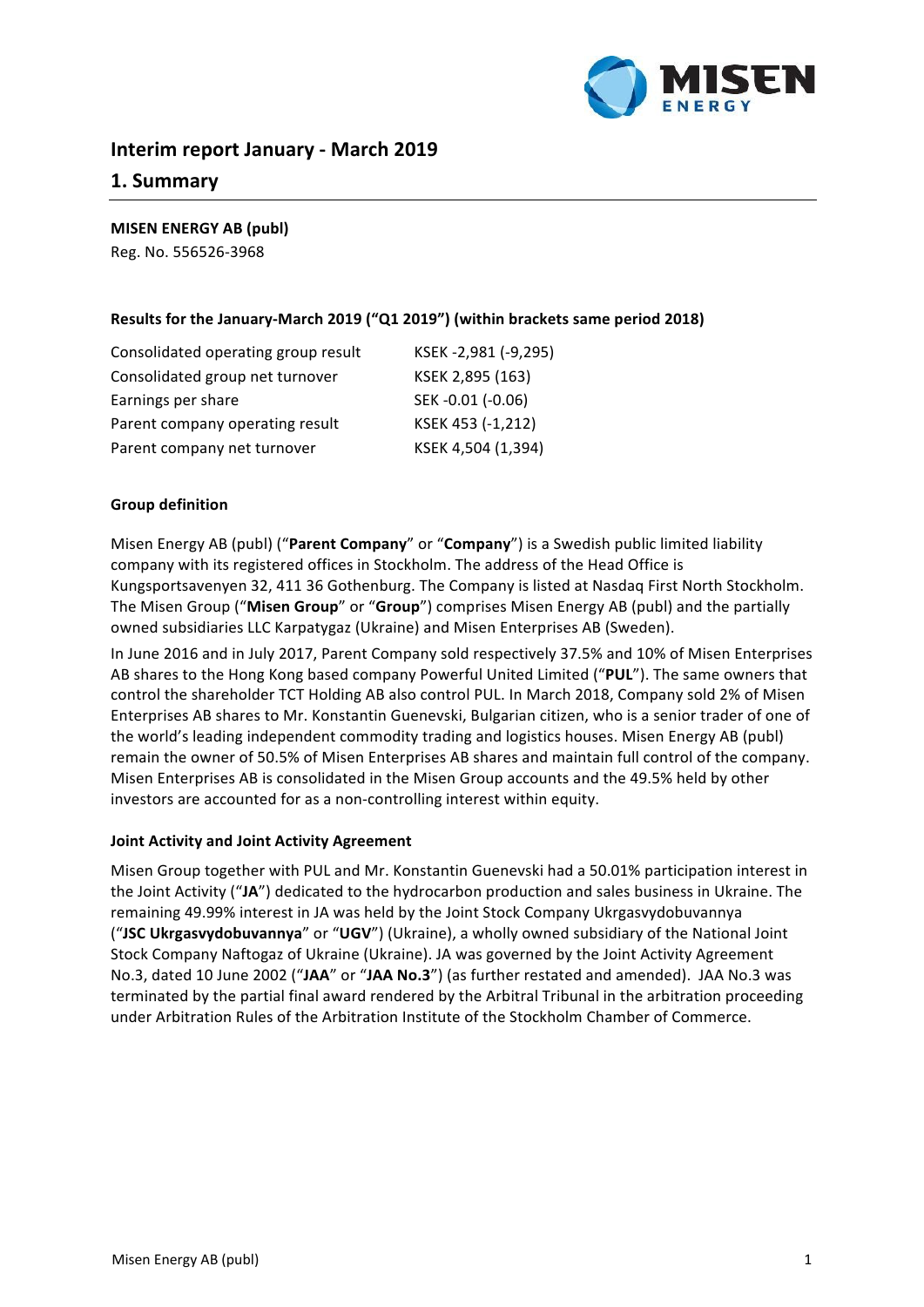

# **Interim report January - March 2019**

## **1. Summary**

**MISEN ENERGY AB (publ)**

Reg. No. 556526-3968

### Results for the January-March 2019 ("Q1 2019") (within brackets same period 2018)

| Consolidated operating group result | KSEK-2,981 (-9,295) |
|-------------------------------------|---------------------|
| Consolidated group net turnover     | KSEK 2,895 (163)    |
| Earnings per share                  | SEK-0.01 (-0.06)    |
| Parent company operating result     | KSEK 453 (-1,212)   |
| Parent company net turnover         | KSEK 4,504 (1,394)  |

### **Group definition**

Misen Energy AB (publ) ("Parent Company" or "Company") is a Swedish public limited liability company with its registered offices in Stockholm. The address of the Head Office is Kungsportsavenyen 32, 411 36 Gothenburg. The Company is listed at Nasdaq First North Stockholm. The Misen Group ("Misen Group" or "Group") comprises Misen Energy AB (publ) and the partially owned subsidiaries LLC Karpatygaz (Ukraine) and Misen Enterprises AB (Sweden).

In June 2016 and in July 2017, Parent Company sold respectively 37.5% and 10% of Misen Enterprises AB shares to the Hong Kong based company Powerful United Limited ("PUL"). The same owners that control the shareholder TCT Holding AB also control PUL. In March 2018, Company sold 2% of Misen Enterprises AB shares to Mr. Konstantin Guenevski, Bulgarian citizen, who is a senior trader of one of the world's leading independent commodity trading and logistics houses. Misen Energy AB (publ) remain the owner of 50.5% of Misen Enterprises AB shares and maintain full control of the company. Misen Enterprises AB is consolidated in the Misen Group accounts and the 49.5% held by other investors are accounted for as a non-controlling interest within equity.

#### **Joint Activity and Joint Activity Agreement**

Misen Group together with PUL and Mr. Konstantin Guenevski had a 50.01% participation interest in the Joint Activity ("JA") dedicated to the hydrocarbon production and sales business in Ukraine. The remaining 49.99% interest in JA was held by the Joint Stock Company Ukrgasvydobuvannya ("JSC Ukrgasvydobuvannya" or "UGV") (Ukraine), a wholly owned subsidiary of the National Joint Stock Company Naftogaz of Ukraine (Ukraine). JA was governed by the Joint Activity Agreement No.3, dated 10 June 2002 ("JAA" or "JAA No.3") (as further restated and amended). JAA No.3 was terminated by the partial final award rendered by the Arbitral Tribunal in the arbitration proceeding under Arbitration Rules of the Arbitration Institute of the Stockholm Chamber of Commerce.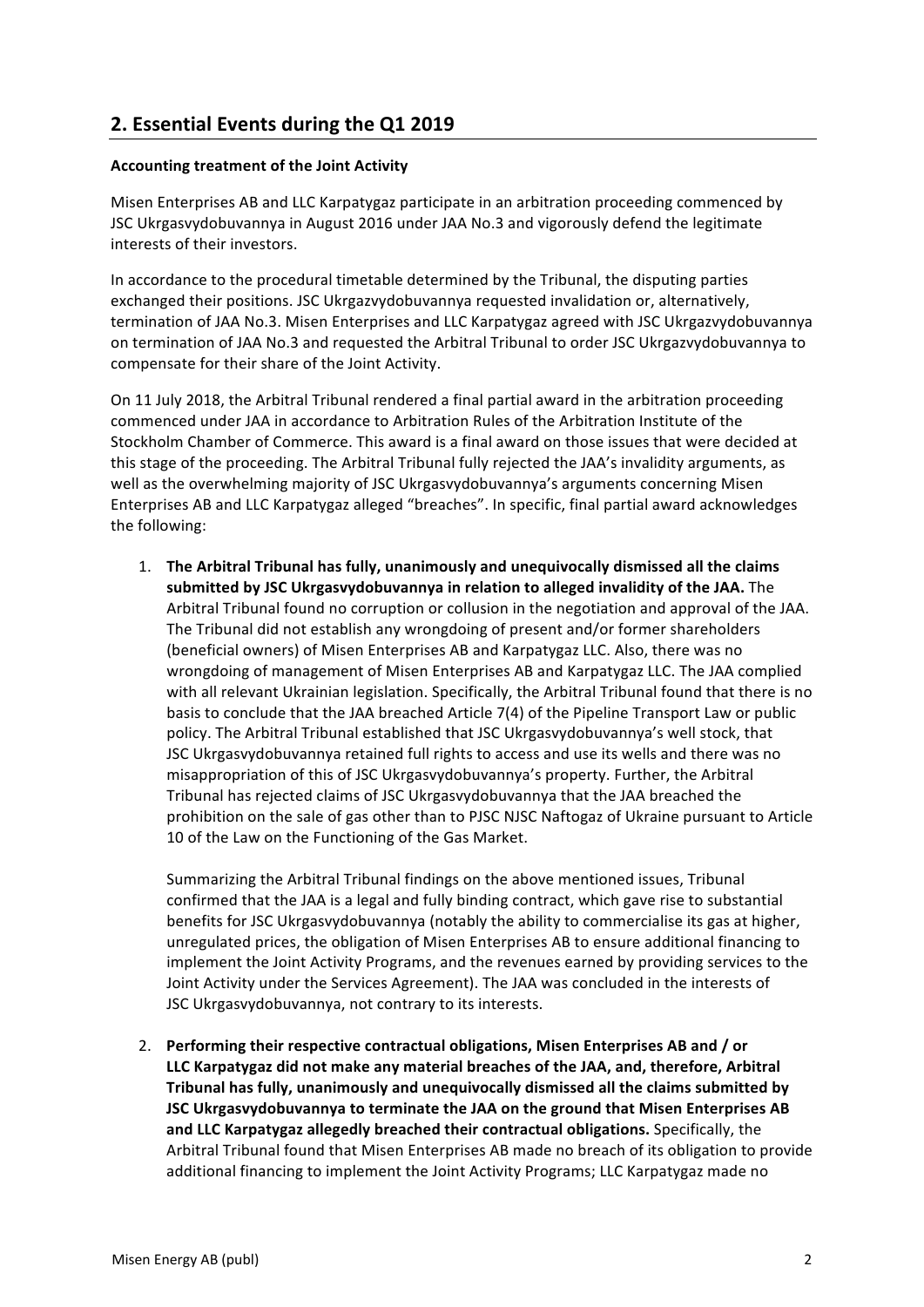# **2. Essential Events during the Q1 2019**

### **Accounting treatment of the Joint Activity**

Misen Enterprises AB and LLC Karpatygaz participate in an arbitration proceeding commenced by JSC Ukrgasvydobuvannya in August 2016 under JAA No.3 and vigorously defend the legitimate interests of their investors.

In accordance to the procedural timetable determined by the Tribunal, the disputing parties exchanged their positions. JSC Ukrgazvydobuvannya requested invalidation or, alternatively, termination of JAA No.3. Misen Enterprises and LLC Karpatygaz agreed with JSC Ukrgazvydobuvannya on termination of JAA No.3 and requested the Arbitral Tribunal to order JSC Ukrgazvydobuvannya to compensate for their share of the Joint Activity.

On 11 July 2018, the Arbitral Tribunal rendered a final partial award in the arbitration proceeding commenced under JAA in accordance to Arbitration Rules of the Arbitration Institute of the Stockholm Chamber of Commerce. This award is a final award on those issues that were decided at this stage of the proceeding. The Arbitral Tribunal fully rejected the JAA's invalidity arguments, as well as the overwhelming majority of JSC Ukrgasvydobuvannya's arguments concerning Misen Enterprises AB and LLC Karpatygaz alleged "breaches". In specific, final partial award acknowledges the following:

1. The Arbitral Tribunal has fully, unanimously and unequivocally dismissed all the claims submitted by JSC Ukrgasyydobuvannya in relation to alleged invalidity of the JAA. The Arbitral Tribunal found no corruption or collusion in the negotiation and approval of the JAA. The Tribunal did not establish any wrongdoing of present and/or former shareholders (beneficial owners) of Misen Enterprises AB and Karpatygaz LLC. Also, there was no wrongdoing of management of Misen Enterprises AB and Karpatygaz LLC. The JAA complied with all relevant Ukrainian legislation. Specifically, the Arbitral Tribunal found that there is no basis to conclude that the JAA breached Article 7(4) of the Pipeline Transport Law or public policy. The Arbitral Tribunal established that JSC Ukrgasvydobuvannya's well stock, that JSC Ukrgasvydobuvannya retained full rights to access and use its wells and there was no misappropriation of this of JSC Ukrgasvydobuvannya's property. Further, the Arbitral Tribunal has rejected claims of JSC Ukrgasvydobuvannya that the JAA breached the prohibition on the sale of gas other than to PJSC NJSC Naftogaz of Ukraine pursuant to Article 10 of the Law on the Functioning of the Gas Market.

Summarizing the Arbitral Tribunal findings on the above mentioned issues. Tribunal confirmed that the JAA is a legal and fully binding contract, which gave rise to substantial benefits for JSC Ukrgasvydobuvannya (notably the ability to commercialise its gas at higher, unregulated prices, the obligation of Misen Enterprises AB to ensure additional financing to implement the Joint Activity Programs, and the revenues earned by providing services to the Joint Activity under the Services Agreement). The JAA was concluded in the interests of JSC Ukrgasvydobuvannya, not contrary to its interests.

2. Performing their respective contractual obligations. Misen Enterprises AB and / or LLC Karpatygaz did not make any material breaches of the JAA, and, therefore, Arbitral **Tribunal has fully, unanimously and unequivocally dismissed all the claims submitted by JSC Ukrgasvydobuvannya to terminate the JAA on the ground that Misen Enterprises AB** and LLC Karpatygaz allegedly breached their contractual obligations. Specifically, the Arbitral Tribunal found that Misen Enterprises AB made no breach of its obligation to provide additional financing to implement the Joint Activity Programs; LLC Karpatygaz made no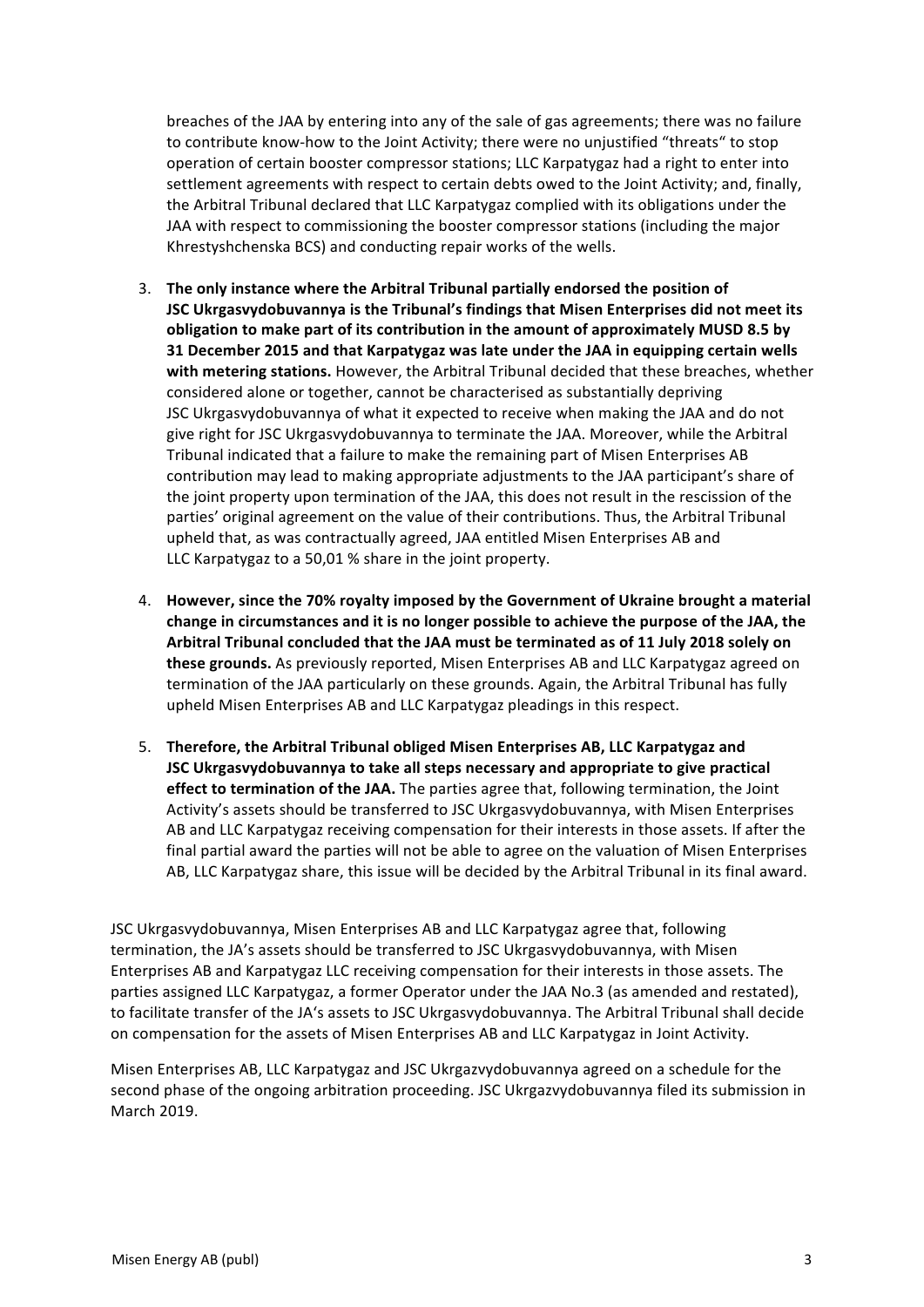breaches of the JAA by entering into any of the sale of gas agreements; there was no failure to contribute know-how to the Joint Activity; there were no unjustified "threats" to stop operation of certain booster compressor stations; LLC Karpatygaz had a right to enter into settlement agreements with respect to certain debts owed to the Joint Activity; and, finally, the Arbitral Tribunal declared that LLC Karpatygaz complied with its obligations under the JAA with respect to commissioning the booster compressor stations (including the major Khrestyshchenska BCS) and conducting repair works of the wells.

- 3. The only instance where the Arbitral Tribunal partially endorsed the position of **JSC Ukrgasvydobuvannya is the Tribunal's findings that Misen Enterprises did not meet its** obligation to make part of its contribution in the amount of approximately MUSD 8.5 by **31 December 2015 and that Karpatygaz was late under the JAA in equipping certain wells** with metering stations. However, the Arbitral Tribunal decided that these breaches, whether considered alone or together, cannot be characterised as substantially depriving JSC Ukrgasvydobuvannya of what it expected to receive when making the JAA and do not give right for JSC Ukrgasvydobuvannya to terminate the JAA. Moreover, while the Arbitral Tribunal indicated that a failure to make the remaining part of Misen Enterprises AB contribution may lead to making appropriate adjustments to the JAA participant's share of the joint property upon termination of the JAA, this does not result in the rescission of the parties' original agreement on the value of their contributions. Thus, the Arbitral Tribunal upheld that, as was contractually agreed, JAA entitled Misen Enterprises AB and LLC Karpatygaz to a 50,01 % share in the joint property.
- 4. However, since the 70% royalty imposed by the Government of Ukraine brought a material change in circumstances and it is no longer possible to achieve the purpose of the JAA, the Arbitral Tribunal concluded that the JAA must be terminated as of 11 July 2018 solely on **these grounds.** As previously reported, Misen Enterprises AB and LLC Karpatygaz agreed on termination of the JAA particularly on these grounds. Again, the Arbitral Tribunal has fully upheld Misen Enterprises AB and LLC Karpatygaz pleadings in this respect.
- 5. Therefore, the Arbitral Tribunal obliged Misen Enterprises AB, LLC Karpatygaz and **JSC** Ukrgasvydobuvannya to take all steps necessary and appropriate to give practical **effect to termination of the JAA.** The parties agree that, following termination, the Joint Activity's assets should be transferred to JSC Ukrgasvydobuvannya, with Misen Enterprises AB and LLC Karpatygaz receiving compensation for their interests in those assets. If after the final partial award the parties will not be able to agree on the valuation of Misen Enterprises AB, LLC Karpatygaz share, this issue will be decided by the Arbitral Tribunal in its final award.

JSC Ukrgasvydobuvannya, Misen Enterprises AB and LLC Karpatygaz agree that, following termination, the JA's assets should be transferred to JSC Ukrgasvydobuvannya, with Misen Enterprises AB and Karpatygaz LLC receiving compensation for their interests in those assets. The parties assigned LLC Karpatygaz, a former Operator under the JAA No.3 (as amended and restated), to facilitate transfer of the JA's assets to JSC Ukrgasvydobuvannya. The Arbitral Tribunal shall decide on compensation for the assets of Misen Enterprises AB and LLC Karpatygaz in Joint Activity.

Misen Enterprises AB, LLC Karpatygaz and JSC Ukrgazvydobuvannya agreed on a schedule for the second phase of the ongoing arbitration proceeding. JSC Ukrgazvydobuvannya filed its submission in March 2019.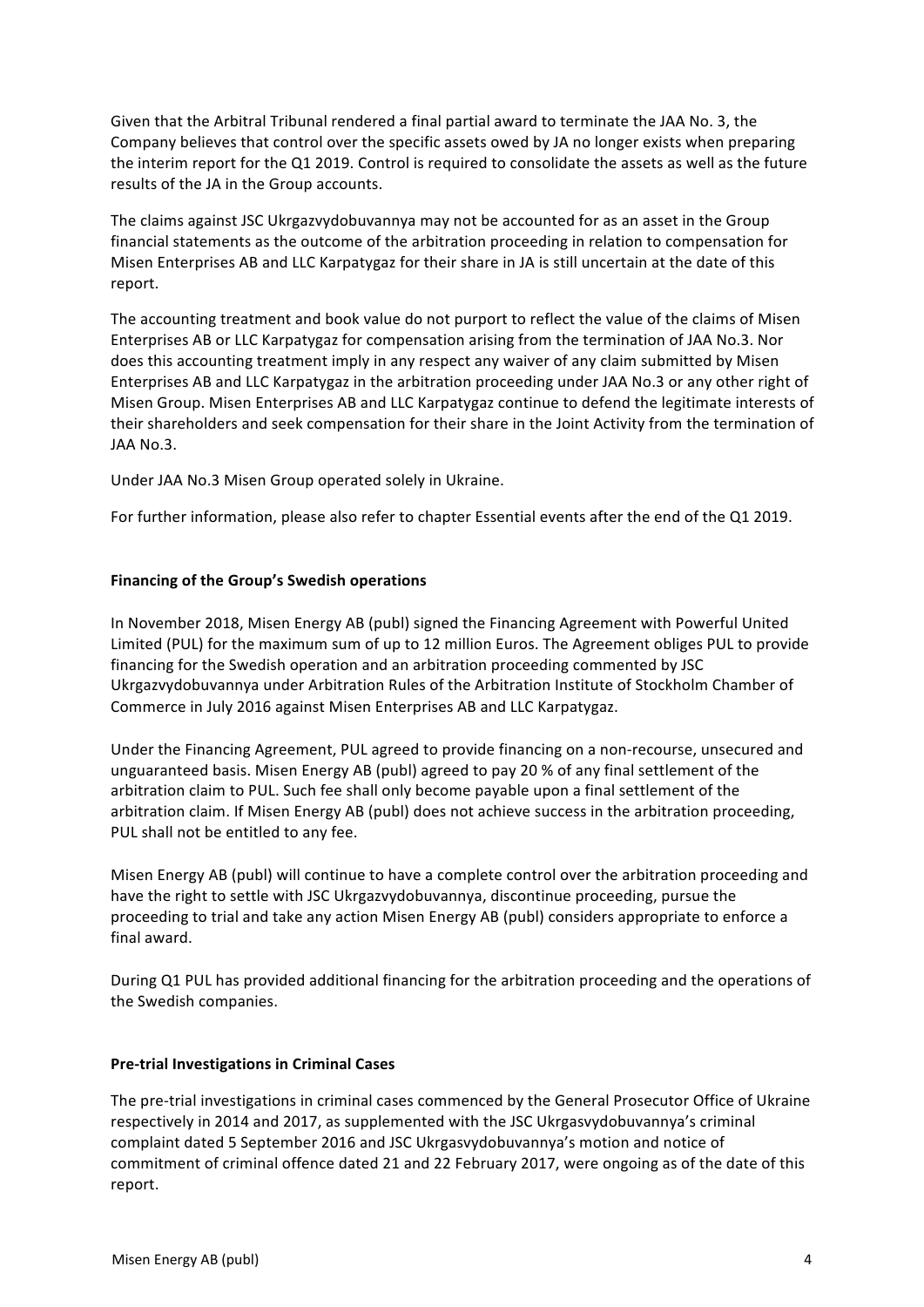Given that the Arbitral Tribunal rendered a final partial award to terminate the JAA No. 3, the Company believes that control over the specific assets owed by JA no longer exists when preparing the interim report for the Q1 2019. Control is required to consolidate the assets as well as the future results of the JA in the Group accounts.

The claims against JSC Ukrgazvydobuvannya may not be accounted for as an asset in the Group financial statements as the outcome of the arbitration proceeding in relation to compensation for Misen Enterprises AB and LLC Karpatygaz for their share in JA is still uncertain at the date of this report.

The accounting treatment and book value do not purport to reflect the value of the claims of Misen Enterprises AB or LLC Karpatygaz for compensation arising from the termination of JAA No.3. Nor does this accounting treatment imply in any respect any waiver of any claim submitted by Misen Enterprises AB and LLC Karpatygaz in the arbitration proceeding under JAA No.3 or any other right of Misen Group. Misen Enterprises AB and LLC Karpatygaz continue to defend the legitimate interests of their shareholders and seek compensation for their share in the Joint Activity from the termination of JAA No.3.

Under JAA No.3 Misen Group operated solely in Ukraine.

For further information, please also refer to chapter Essential events after the end of the Q1 2019.

## **Financing of the Group's Swedish operations**

In November 2018, Misen Energy AB (publ) signed the Financing Agreement with Powerful United Limited (PUL) for the maximum sum of up to 12 million Euros. The Agreement obliges PUL to provide financing for the Swedish operation and an arbitration proceeding commented by JSC Ukrgazvydobuvannya under Arbitration Rules of the Arbitration Institute of Stockholm Chamber of Commerce in July 2016 against Misen Enterprises AB and LLC Karpatygaz.

Under the Financing Agreement, PUL agreed to provide financing on a non-recourse, unsecured and unguaranteed basis. Misen Energy AB (publ) agreed to pay 20 % of any final settlement of the arbitration claim to PUL. Such fee shall only become payable upon a final settlement of the arbitration claim. If Misen Energy AB (publ) does not achieve success in the arbitration proceeding, PUL shall not be entitled to any fee.

Misen Energy AB (publ) will continue to have a complete control over the arbitration proceeding and have the right to settle with JSC Ukrgazvydobuvannya, discontinue proceeding, pursue the proceeding to trial and take any action Misen Energy AB (publ) considers appropriate to enforce a final award.

During Q1 PUL has provided additional financing for the arbitration proceeding and the operations of the Swedish companies.

### **Pre-trial Investigations in Criminal Cases**

The pre-trial investigations in criminal cases commenced by the General Prosecutor Office of Ukraine respectively in 2014 and 2017, as supplemented with the JSC Ukrgasvydobuvannya's criminal complaint dated 5 September 2016 and JSC Ukrgasvydobuvannya's motion and notice of commitment of criminal offence dated 21 and 22 February 2017, were ongoing as of the date of this report.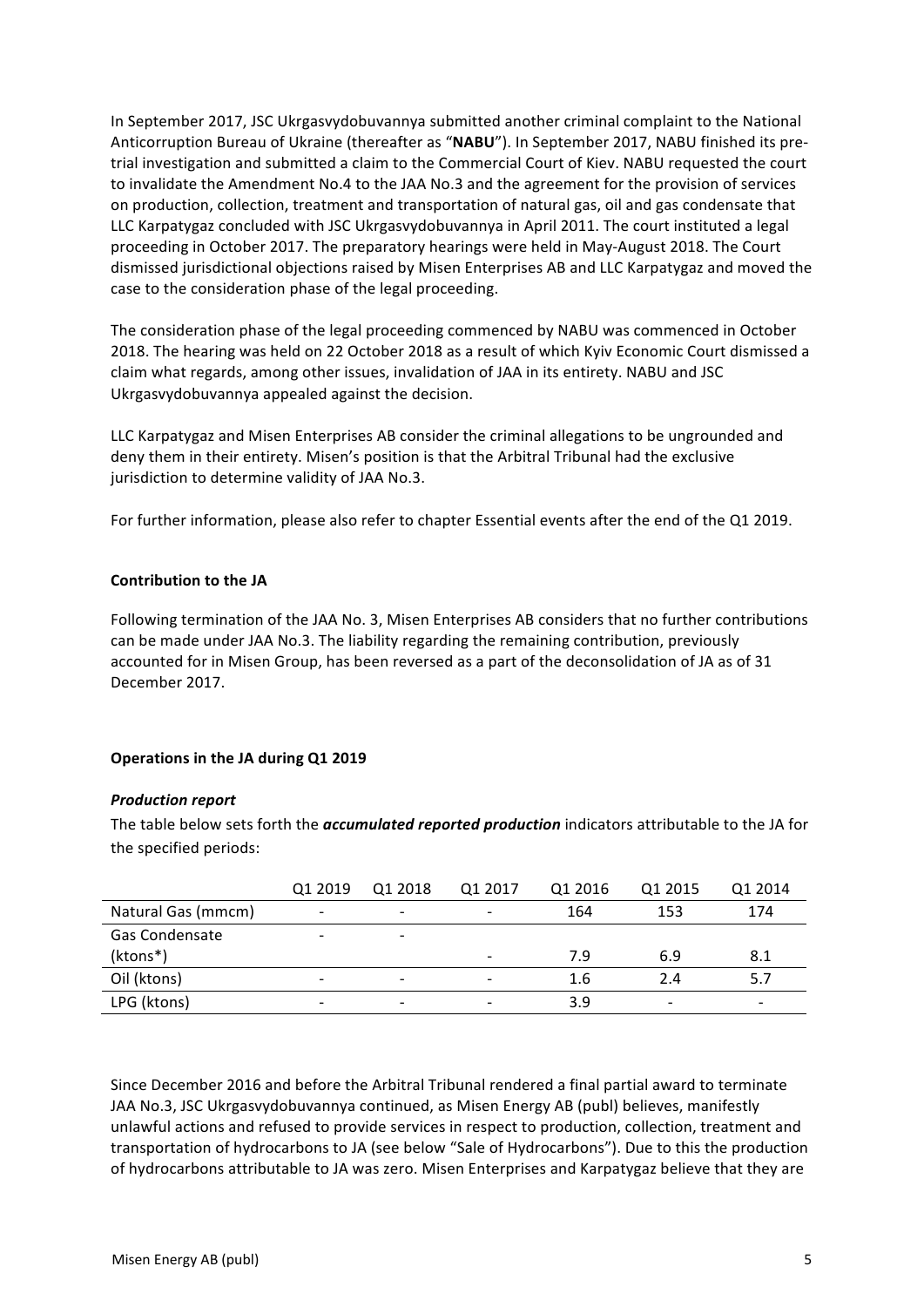In September 2017, JSC Ukrgasvydobuvannya submitted another criminal complaint to the National Anticorruption Bureau of Ukraine (thereafter as "NABU"). In September 2017, NABU finished its pretrial investigation and submitted a claim to the Commercial Court of Kiev. NABU requested the court to invalidate the Amendment No.4 to the JAA No.3 and the agreement for the provision of services on production, collection, treatment and transportation of natural gas, oil and gas condensate that LLC Karpatygaz concluded with JSC Ukrgasvydobuvannya in April 2011. The court instituted a legal proceeding in October 2017. The preparatory hearings were held in May-August 2018. The Court dismissed jurisdictional objections raised by Misen Enterprises AB and LLC Karpatygaz and moved the case to the consideration phase of the legal proceeding.

The consideration phase of the legal proceeding commenced by NABU was commenced in October 2018. The hearing was held on 22 October 2018 as a result of which Kyiv Economic Court dismissed a claim what regards, among other issues, invalidation of JAA in its entirety. NABU and JSC Ukrgasvydobuvannya appealed against the decision.

LLC Karpatygaz and Misen Enterprises AB consider the criminal allegations to be ungrounded and deny them in their entirety. Misen's position is that the Arbitral Tribunal had the exclusive jurisdiction to determine validity of JAA No.3.

For further information, please also refer to chapter Essential events after the end of the Q1 2019.

### **Contribution to the JA**

Following termination of the JAA No. 3, Misen Enterprises AB considers that no further contributions can be made under JAA No.3. The liability regarding the remaining contribution, previously accounted for in Misen Group, has been reversed as a part of the deconsolidation of JA as of 31 December 2017.

### **Operations in the JA during Q1 2019**

#### **Production report**

The table below sets forth the *accumulated reported production* indicators attributable to the JA for the specified periods:

|                    | Q1 2019 | Q1 2018                  | Q1 2017                  | Q1 2016 | Q1 2015                  | Q1 2014 |
|--------------------|---------|--------------------------|--------------------------|---------|--------------------------|---------|
| Natural Gas (mmcm) | -       | $\overline{\phantom{0}}$ |                          | 164     | 153                      | 174     |
| Gas Condensate     |         | $\overline{\phantom{a}}$ |                          |         |                          |         |
| (ktons*)           |         |                          |                          | 7.9     | 6.9                      | 8.1     |
| Oil (ktons)        |         | $\overline{\phantom{0}}$ | $\overline{\phantom{a}}$ | 1.6     | 2.4                      | 5.7     |
| LPG (ktons)        |         | $\overline{\phantom{0}}$ |                          | 3.9     | $\overline{\phantom{0}}$ |         |

Since December 2016 and before the Arbitral Tribunal rendered a final partial award to terminate JAA No.3, JSC Ukrgasvydobuvannya continued, as Misen Energy AB (publ) believes, manifestly unlawful actions and refused to provide services in respect to production, collection, treatment and transportation of hydrocarbons to JA (see below "Sale of Hydrocarbons"). Due to this the production of hydrocarbons attributable to JA was zero. Misen Enterprises and Karpatygaz believe that they are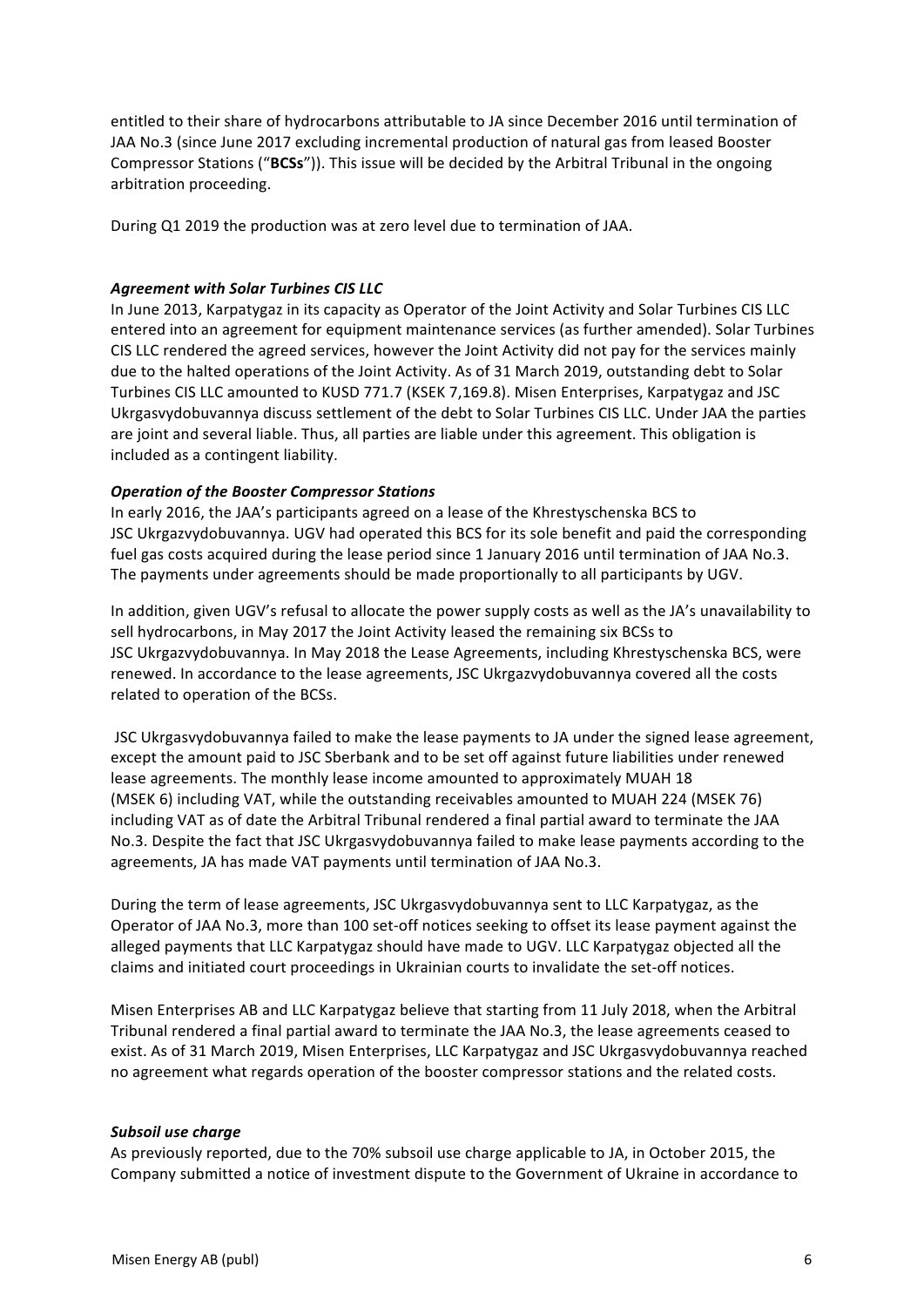entitled to their share of hydrocarbons attributable to JA since December 2016 until termination of JAA No.3 (since June 2017 excluding incremental production of natural gas from leased Booster Compressor Stations ("**BCSs**")). This issue will be decided by the Arbitral Tribunal in the ongoing arbitration proceeding.

During Q1 2019 the production was at zero level due to termination of JAA.

### *Agreement with Solar Turbines CIS LLC*

In June 2013, Karpatygaz in its capacity as Operator of the Joint Activity and Solar Turbines CIS LLC entered into an agreement for equipment maintenance services (as further amended). Solar Turbines CIS LLC rendered the agreed services, however the Joint Activity did not pay for the services mainly due to the halted operations of the Joint Activity. As of 31 March 2019, outstanding debt to Solar Turbines CIS LLC amounted to KUSD 771.7 (KSEK 7,169.8). Misen Enterprises, Karpatygaz and JSC Ukrgasvydobuvannya discuss settlement of the debt to Solar Turbines CIS LLC. Under JAA the parties are joint and several liable. Thus, all parties are liable under this agreement. This obligation is included as a contingent liability.

### *Operation of the Booster Compressor Stations*

In early 2016, the JAA's participants agreed on a lease of the Khrestyschenska BCS to JSC Ukrgazvydobuvannya. UGV had operated this BCS for its sole benefit and paid the corresponding fuel gas costs acquired during the lease period since 1 January 2016 until termination of JAA No.3. The payments under agreements should be made proportionally to all participants by UGV.

In addition, given UGV's refusal to allocate the power supply costs as well as the JA's unavailability to sell hydrocarbons, in May 2017 the Joint Activity leased the remaining six BCSs to JSC Ukrgazvydobuvannya. In May 2018 the Lease Agreements, including Khrestyschenska BCS, were renewed. In accordance to the lease agreements, JSC Ukrgazvydobuvannya covered all the costs related to operation of the BCSs.

JSC Ukrgasvydobuvannya failed to make the lease payments to JA under the signed lease agreement, except the amount paid to JSC Sberbank and to be set off against future liabilities under renewed lease agreements. The monthly lease income amounted to approximately MUAH 18 (MSEK 6) including VAT, while the outstanding receivables amounted to MUAH 224 (MSEK 76) including VAT as of date the Arbitral Tribunal rendered a final partial award to terminate the JAA No.3. Despite the fact that JSC Ukrgasvydobuvannya failed to make lease payments according to the agreements, JA has made VAT payments until termination of JAA No.3.

During the term of lease agreements, JSC Ukrgasvydobuvannya sent to LLC Karpatygaz, as the Operator of JAA No.3, more than 100 set-off notices seeking to offset its lease payment against the alleged payments that LLC Karpatygaz should have made to UGV. LLC Karpatygaz objected all the claims and initiated court proceedings in Ukrainian courts to invalidate the set-off notices.

Misen Enterprises AB and LLC Karpatygaz believe that starting from 11 July 2018, when the Arbitral Tribunal rendered a final partial award to terminate the JAA No.3, the lease agreements ceased to exist. As of 31 March 2019, Misen Enterprises, LLC Karpatygaz and JSC Ukrgasvydobuvannya reached no agreement what regards operation of the booster compressor stations and the related costs.

### **Subsoil use charge**

As previously reported, due to the 70% subsoil use charge applicable to JA, in October 2015, the Company submitted a notice of investment dispute to the Government of Ukraine in accordance to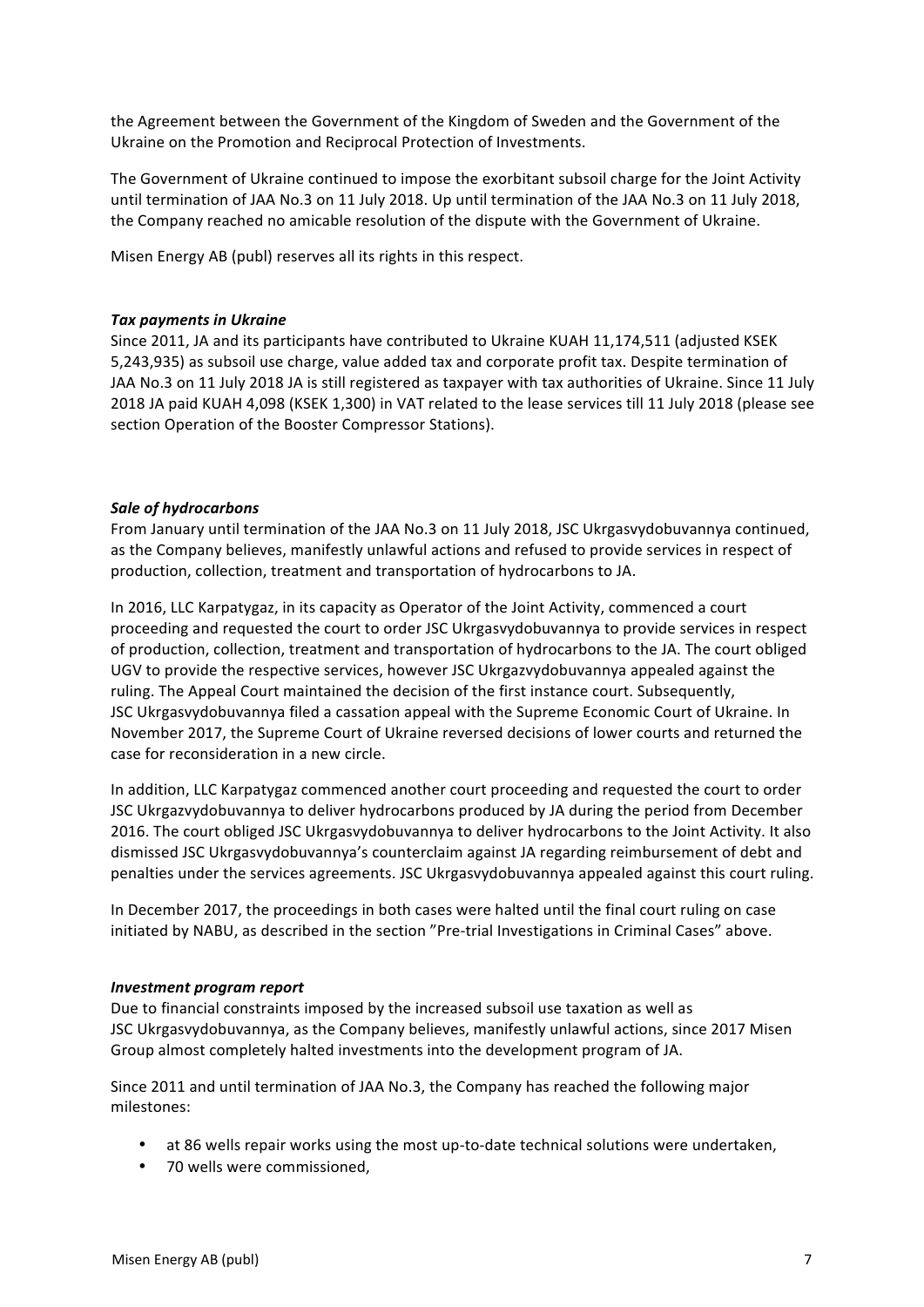the Agreement between the Government of the Kingdom of Sweden and the Government of the Ukraine on the Promotion and Reciprocal Protection of Investments.

The Government of Ukraine continued to impose the exorbitant subsoil charge for the Joint Activity until termination of JAA No.3 on 11 July 2018. Up until termination of the JAA No.3 on 11 July 2018, the Company reached no amicable resolution of the dispute with the Government of Ukraine.

Misen Energy AB (publ) reserves all its rights in this respect.

#### **Tax payments in Ukraine**

Since 2011, JA and its participants have contributed to Ukraine KUAH 11,174,511 (adjusted KSEK 5,243,935) as subsoil use charge, value added tax and corporate profit tax. Despite termination of JAA No.3 on 11 July 2018 JA is still registered as taxpayer with tax authorities of Ukraine. Since 11 July 2018 JA paid KUAH 4,098 (KSEK 1,300) in VAT related to the lease services till 11 July 2018 (please see section Operation of the Booster Compressor Stations).

### **Sale of hydrocarbons**

From January until termination of the JAA No.3 on 11 July 2018, JSC Ukrgasvydobuvannya continued, as the Company believes, manifestly unlawful actions and refused to provide services in respect of production, collection, treatment and transportation of hydrocarbons to JA.

In 2016, LLC Karpatygaz, in its capacity as Operator of the Joint Activity, commenced a court proceeding and requested the court to order JSC Ukrgasvydobuvannya to provide services in respect of production, collection, treatment and transportation of hydrocarbons to the JA. The court obliged UGV to provide the respective services, however JSC Ukrgazvydobuvannya appealed against the ruling. The Appeal Court maintained the decision of the first instance court. Subsequently, JSC Ukrgasvydobuvannya filed a cassation appeal with the Supreme Economic Court of Ukraine. In November 2017, the Supreme Court of Ukraine reversed decisions of lower courts and returned the case for reconsideration in a new circle.

In addition, LLC Karpatygaz commenced another court proceeding and requested the court to order JSC Ukrgazvydobuvannya to deliver hydrocarbons produced by JA during the period from December 2016. The court obliged JSC Ukrgasvydobuvannya to deliver hydrocarbons to the Joint Activity. It also dismissed JSC Ukrgasvydobuvannya's counterclaim against JA regarding reimbursement of debt and penalties under the services agreements. JSC Ukrgasvydobuvannya appealed against this court ruling.

In December 2017, the proceedings in both cases were halted until the final court ruling on case initiated by NABU, as described in the section "Pre-trial Investigations in Criminal Cases" above.

#### *Investment program report*

Due to financial constraints imposed by the increased subsoil use taxation as well as JSC Ukrgasvydobuvannya, as the Company believes, manifestly unlawful actions, since 2017 Misen Group almost completely halted investments into the development program of JA.

Since 2011 and until termination of JAA No.3, the Company has reached the following major milestones:

- at 86 wells repair works using the most up-to-date technical solutions were undertaken,
- 70 wells were commissioned.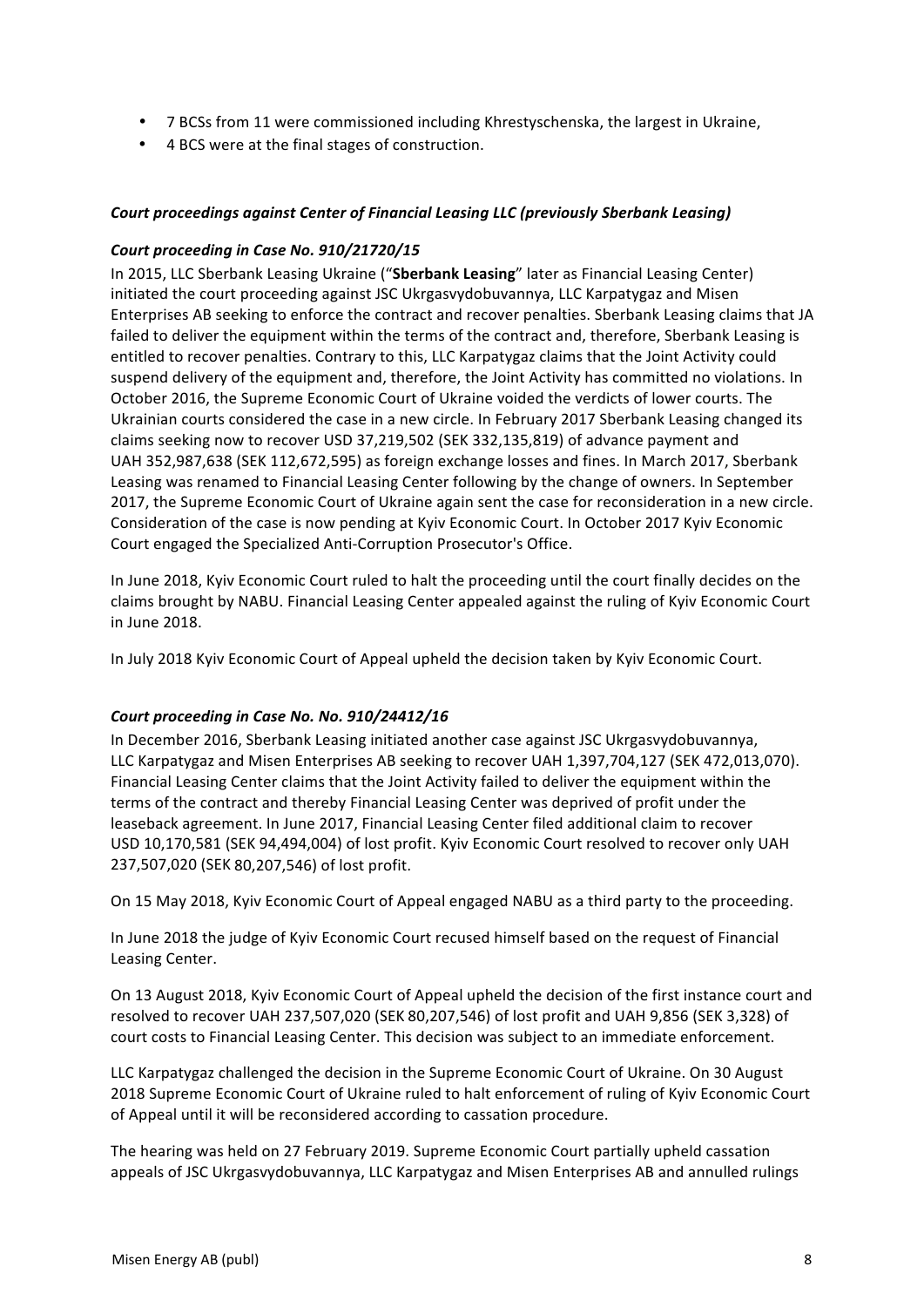- 7 BCSs from 11 were commissioned including Khrestyschenska, the largest in Ukraine,
- 4 BCS were at the final stages of construction.

## *Court proceedings against Center of Financial Leasing LLC (previously Sberbank Leasing)*

### *Court proceeding in Case No. 910/21720/15*

In 2015, LLC Sberbank Leasing Ukraine ("Sberbank Leasing" later as Financial Leasing Center) initiated the court proceeding against JSC Ukrgasvydobuvannya, LLC Karpatygaz and Misen Enterprises AB seeking to enforce the contract and recover penalties. Sberbank Leasing claims that JA failed to deliver the equipment within the terms of the contract and, therefore, Sberbank Leasing is entitled to recover penalties. Contrary to this, LLC Karpatygaz claims that the Joint Activity could suspend delivery of the equipment and, therefore, the Joint Activity has committed no violations. In October 2016, the Supreme Economic Court of Ukraine voided the verdicts of lower courts. The Ukrainian courts considered the case in a new circle. In February 2017 Sberbank Leasing changed its claims seeking now to recover USD 37,219,502 (SEK 332,135,819) of advance payment and UAH 352,987,638 (SEK 112,672,595) as foreign exchange losses and fines. In March 2017, Sberbank Leasing was renamed to Financial Leasing Center following by the change of owners. In September 2017, the Supreme Economic Court of Ukraine again sent the case for reconsideration in a new circle. Consideration of the case is now pending at Kyiv Economic Court. In October 2017 Kyiv Economic Court engaged the Specialized Anti-Corruption Prosecutor's Office.

In June 2018, Kyiv Economic Court ruled to halt the proceeding until the court finally decides on the claims brought by NABU. Financial Leasing Center appealed against the ruling of Kyiv Economic Court in June 2018.

In July 2018 Kyiv Economic Court of Appeal upheld the decision taken by Kyiv Economic Court.

## Court proceeding in Case No. No. 910/24412/16

In December 2016, Sberbank Leasing initiated another case against JSC Ukrgasyydobuvannya, LLC Karpatygaz and Misen Enterprises AB seeking to recover UAH 1,397,704,127 (SEK 472,013,070). Financial Leasing Center claims that the Joint Activity failed to deliver the equipment within the terms of the contract and thereby Financial Leasing Center was deprived of profit under the leaseback agreement. In June 2017, Financial Leasing Center filed additional claim to recover USD 10,170,581 (SEK 94,494,004) of lost profit. Kyiv Economic Court resolved to recover only UAH 237,507,020 (SEK 80,207,546) of lost profit.

On 15 May 2018, Kyiv Economic Court of Appeal engaged NABU as a third party to the proceeding.

In June 2018 the judge of Kyiv Economic Court recused himself based on the request of Financial Leasing Center.

On 13 August 2018, Kyiv Economic Court of Appeal upheld the decision of the first instance court and resolved to recover UAH 237,507,020 (SEK 80,207,546) of lost profit and UAH 9,856 (SEK 3,328) of court costs to Financial Leasing Center. This decision was subject to an immediate enforcement.

LLC Karpatygaz challenged the decision in the Supreme Economic Court of Ukraine. On 30 August 2018 Supreme Economic Court of Ukraine ruled to halt enforcement of ruling of Kyiv Economic Court of Appeal until it will be reconsidered according to cassation procedure.

The hearing was held on 27 February 2019. Supreme Economic Court partially upheld cassation appeals of JSC Ukrgasvydobuvannya, LLC Karpatygaz and Misen Enterprises AB and annulled rulings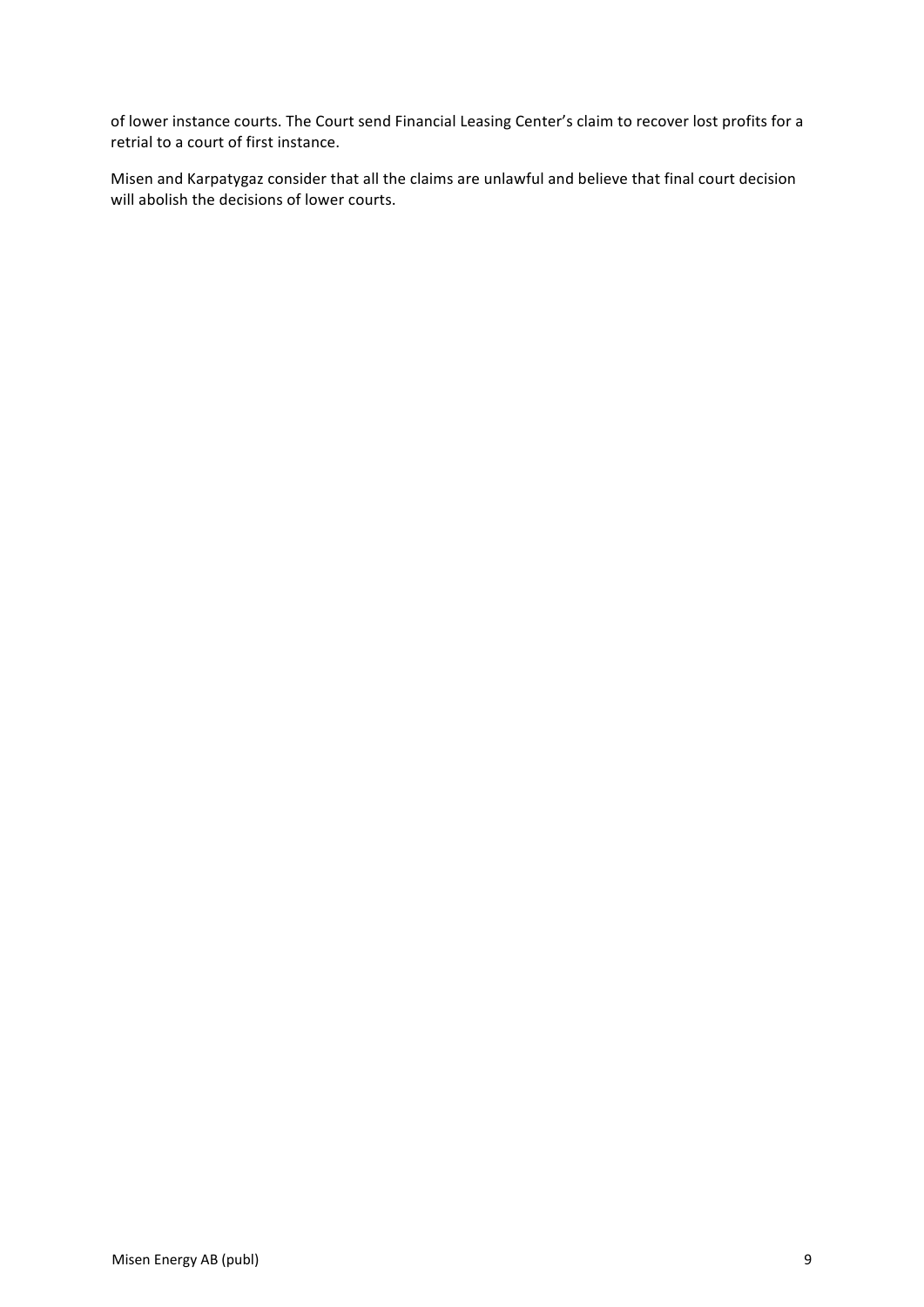of lower instance courts. The Court send Financial Leasing Center's claim to recover lost profits for a retrial to a court of first instance.

Misen and Karpatygaz consider that all the claims are unlawful and believe that final court decision will abolish the decisions of lower courts.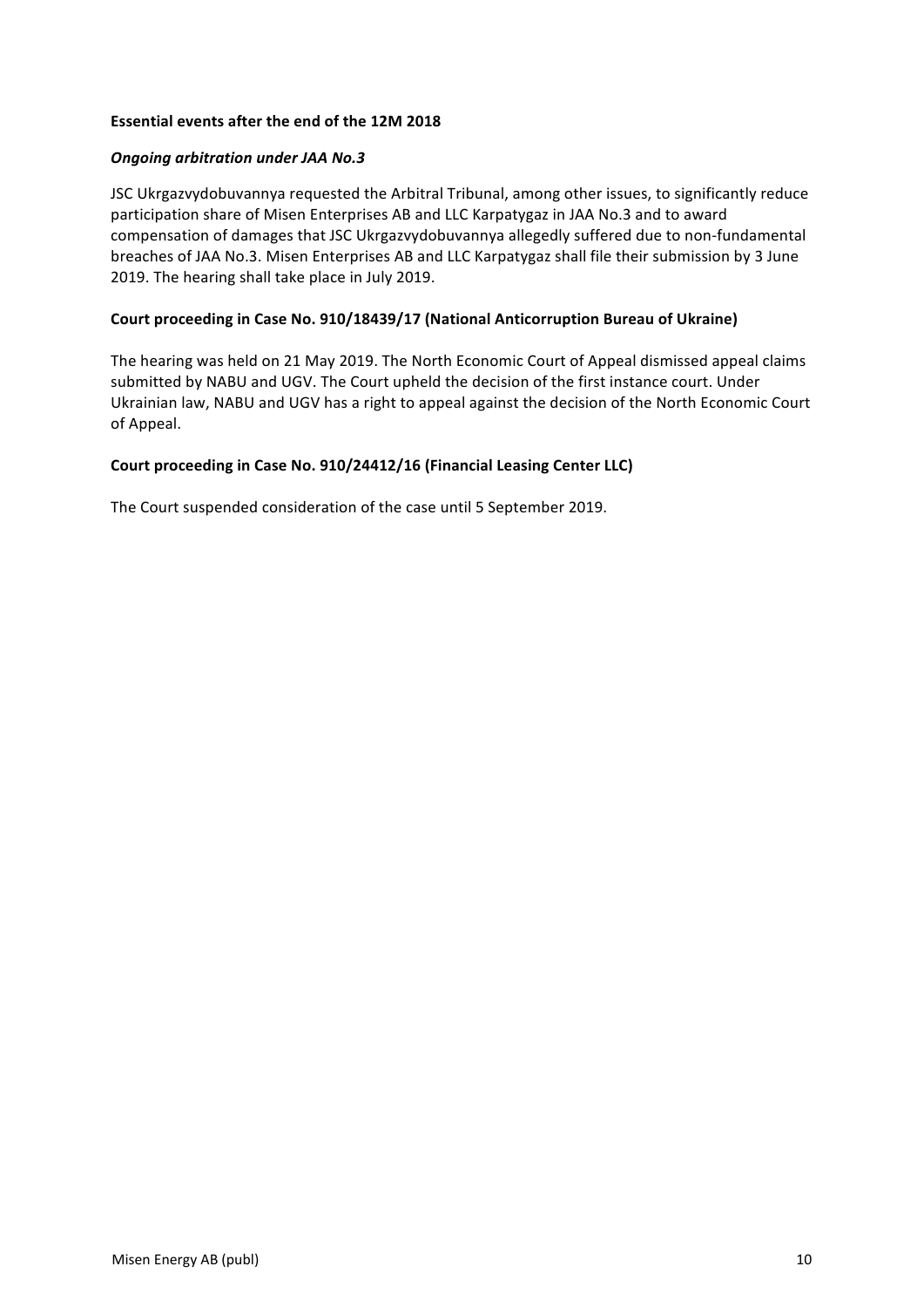### **Essential events after the end of the 12M 2018**

### *Ongoing arbitration under JAA No.3*

JSC Ukrgazvydobuvannya requested the Arbitral Tribunal, among other issues, to significantly reduce participation share of Misen Enterprises AB and LLC Karpatygaz in JAA No.3 and to award compensation of damages that JSC Ukrgazvydobuvannya allegedly suffered due to non-fundamental breaches of JAA No.3. Misen Enterprises AB and LLC Karpatygaz shall file their submission by 3 June 2019. The hearing shall take place in July 2019.

### Court proceeding in Case No. 910/18439/17 (National Anticorruption Bureau of Ukraine)

The hearing was held on 21 May 2019. The North Economic Court of Appeal dismissed appeal claims submitted by NABU and UGV. The Court upheld the decision of the first instance court. Under Ukrainian law, NABU and UGV has a right to appeal against the decision of the North Economic Court of Appeal.

### Court proceeding in Case No. 910/24412/16 (Financial Leasing Center LLC)

The Court suspended consideration of the case until 5 September 2019.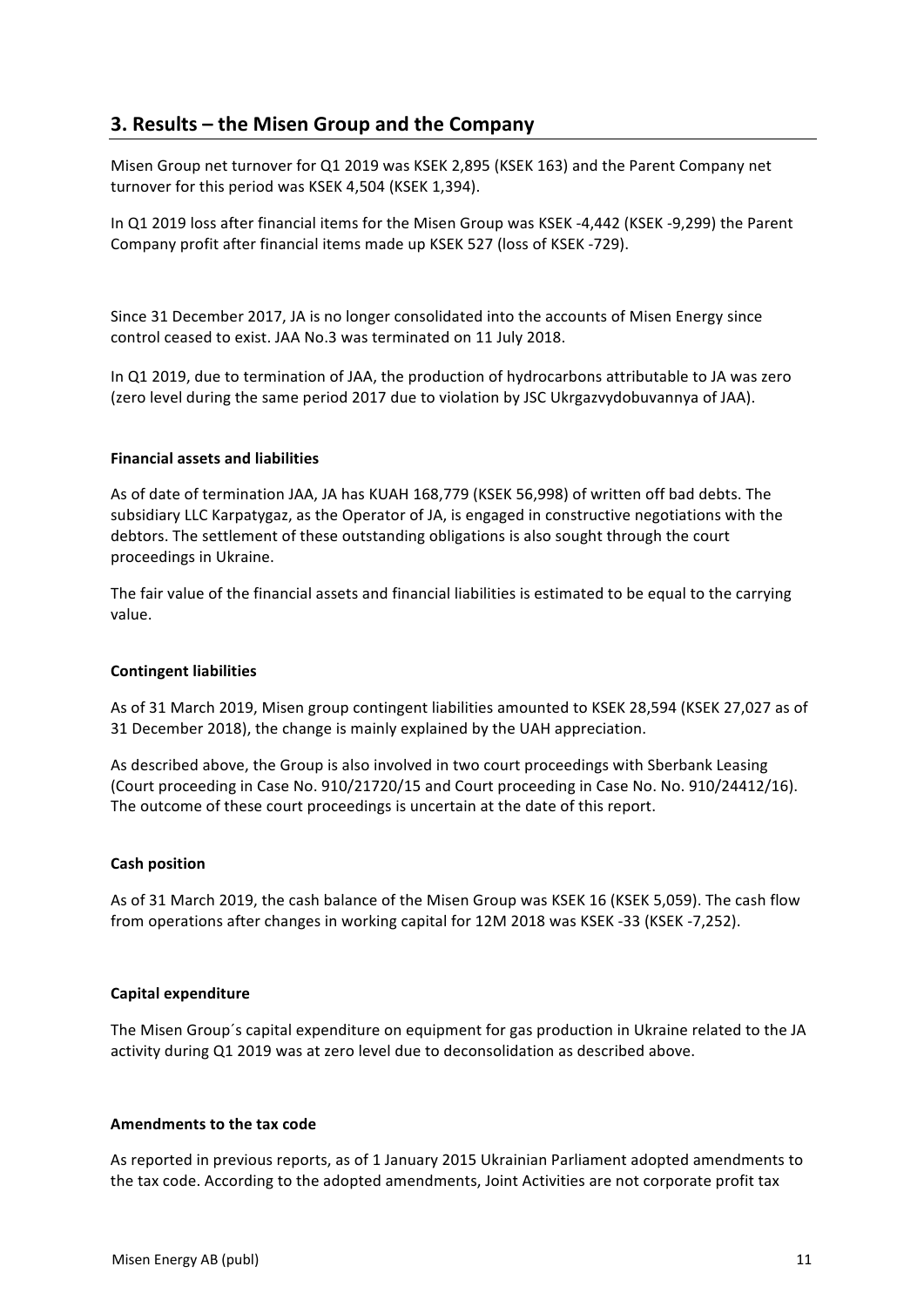# **3. Results – the Misen Group and the Company**

Misen Group net turnover for Q1 2019 was KSEK 2,895 (KSEK 163) and the Parent Company net turnover for this period was KSEK 4,504 (KSEK 1,394).

In Q1 2019 loss after financial items for the Misen Group was KSEK -4,442 (KSEK -9,299) the Parent Company profit after financial items made up KSEK 527 (loss of KSEK -729).

Since 31 December 2017, JA is no longer consolidated into the accounts of Misen Energy since control ceased to exist. JAA No.3 was terminated on 11 July 2018.

In Q1 2019, due to termination of JAA, the production of hydrocarbons attributable to JA was zero (zero level during the same period 2017 due to violation by JSC Ukrgazvydobuvannya of JAA).

### **Financial assets and liabilities**

As of date of termination JAA, JA has KUAH 168,779 (KSEK 56,998) of written off bad debts. The subsidiary LLC Karpatygaz, as the Operator of JA, is engaged in constructive negotiations with the debtors. The settlement of these outstanding obligations is also sought through the court proceedings in Ukraine.

The fair value of the financial assets and financial liabilities is estimated to be equal to the carrying value.

#### **Contingent liabilities**

As of 31 March 2019, Misen group contingent liabilities amounted to KSEK 28,594 (KSEK 27,027 as of 31 December 2018), the change is mainly explained by the UAH appreciation.

As described above, the Group is also involved in two court proceedings with Sberbank Leasing (Court proceeding in Case No. 910/21720/15 and Court proceeding in Case No. No. 910/24412/16). The outcome of these court proceedings is uncertain at the date of this report.

#### **Cash position**

As of 31 March 2019, the cash balance of the Misen Group was KSEK 16 (KSEK 5,059). The cash flow from operations after changes in working capital for 12M 2018 was KSEK -33 (KSEK -7,252).

#### **Capital expenditure**

The Misen Group's capital expenditure on equipment for gas production in Ukraine related to the JA activity during Q1 2019 was at zero level due to deconsolidation as described above.

#### **Amendments to the tax code**

As reported in previous reports, as of 1 January 2015 Ukrainian Parliament adopted amendments to the tax code. According to the adopted amendments, Joint Activities are not corporate profit tax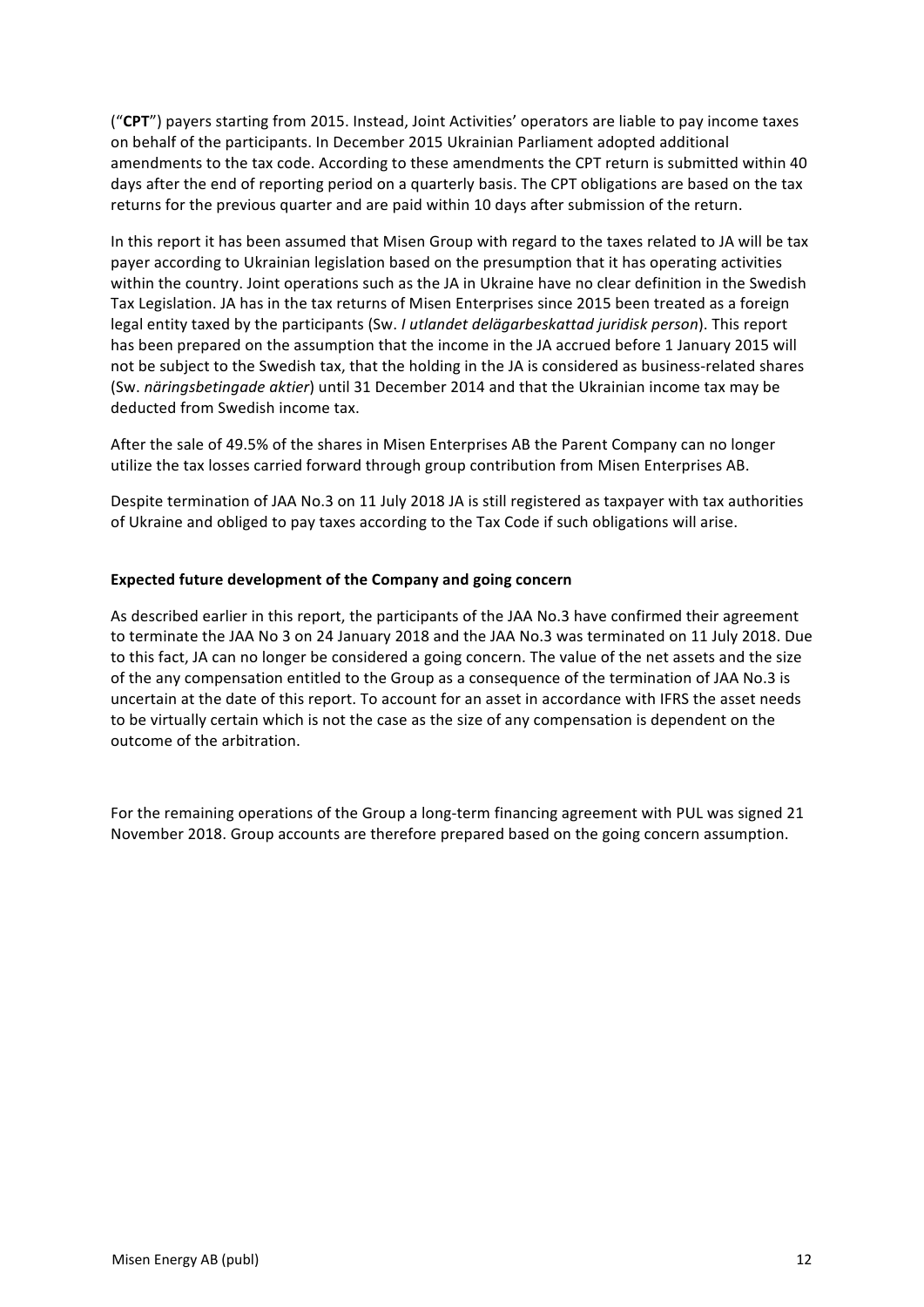("CPT") payers starting from 2015. Instead, Joint Activities' operators are liable to pay income taxes on behalf of the participants. In December 2015 Ukrainian Parliament adopted additional amendments to the tax code. According to these amendments the CPT return is submitted within 40 days after the end of reporting period on a quarterly basis. The CPT obligations are based on the tax returns for the previous quarter and are paid within 10 days after submission of the return.

In this report it has been assumed that Misen Group with regard to the taxes related to JA will be tax payer according to Ukrainian legislation based on the presumption that it has operating activities within the country. Joint operations such as the JA in Ukraine have no clear definition in the Swedish Tax Legislation. JA has in the tax returns of Misen Enterprises since 2015 been treated as a foreign legal entity taxed by the participants (Sw. *I utlandet delägarbeskattad juridisk person*). This report has been prepared on the assumption that the income in the JA accrued before 1 January 2015 will not be subject to the Swedish tax, that the holding in the JA is considered as business-related shares (Sw. *näringsbetingade aktier*) until 31 December 2014 and that the Ukrainian income tax may be deducted from Swedish income tax.

After the sale of 49.5% of the shares in Misen Enterprises AB the Parent Company can no longer utilize the tax losses carried forward through group contribution from Misen Enterprises AB.

Despite termination of JAA No.3 on 11 July 2018 JA is still registered as taxpayer with tax authorities of Ukraine and obliged to pay taxes according to the Tax Code if such obligations will arise.

### **Expected future development of the Company and going concern**

As described earlier in this report, the participants of the JAA No.3 have confirmed their agreement to terminate the JAA No 3 on 24 January 2018 and the JAA No.3 was terminated on 11 July 2018. Due to this fact, JA can no longer be considered a going concern. The value of the net assets and the size of the any compensation entitled to the Group as a consequence of the termination of JAA No.3 is uncertain at the date of this report. To account for an asset in accordance with IFRS the asset needs to be virtually certain which is not the case as the size of any compensation is dependent on the outcome of the arbitration.

For the remaining operations of the Group a long-term financing agreement with PUL was signed 21 November 2018. Group accounts are therefore prepared based on the going concern assumption.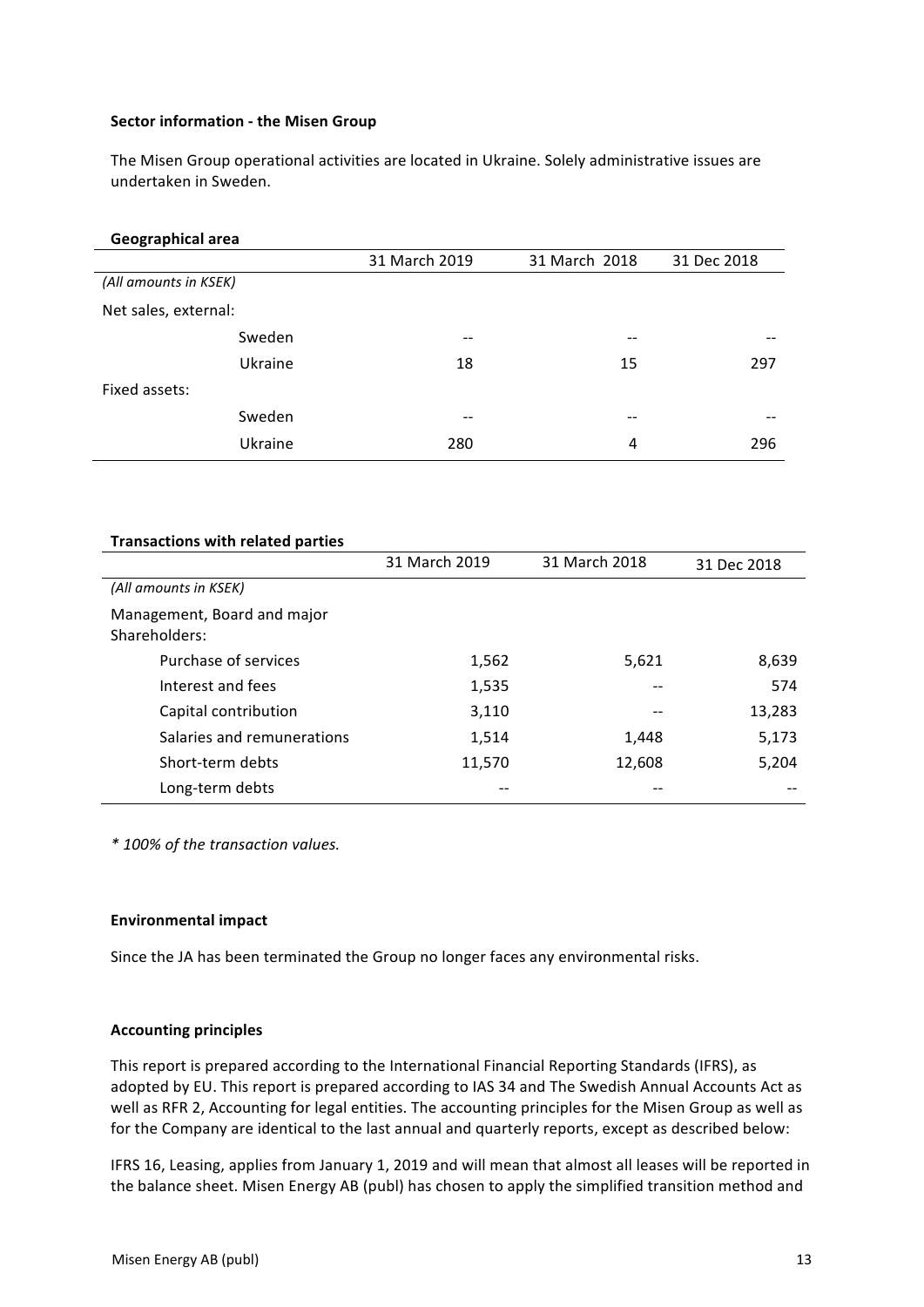### **Sector information - the Misen Group**

The Misen Group operational activities are located in Ukraine. Solely administrative issues are undertaken in Sweden.

| Geographical area     |               |               |             |
|-----------------------|---------------|---------------|-------------|
|                       | 31 March 2019 | 31 March 2018 | 31 Dec 2018 |
| (All amounts in KSEK) |               |               |             |
| Net sales, external:  |               |               |             |
| Sweden                | --            |               |             |
| Ukraine               | 18            | 15            | 297         |
| Fixed assets:         |               |               |             |
| Sweden                | --            |               |             |
| Ukraine               | 280           | 4             | 296         |

| <b>Transactions with related parties</b>     |               |               |             |
|----------------------------------------------|---------------|---------------|-------------|
|                                              | 31 March 2019 | 31 March 2018 | 31 Dec 2018 |
| (All amounts in KSEK)                        |               |               |             |
| Management, Board and major<br>Shareholders: |               |               |             |
| Purchase of services                         | 1,562         | 5,621         | 8,639       |
| Interest and fees                            | 1,535         |               | 574         |
| Capital contribution                         | 3,110         |               | 13,283      |
| Salaries and remunerations                   | 1,514         | 1,448         | 5,173       |
| Short-term debts                             | 11,570        | 12,608        | 5,204       |
| Long-term debts                              |               |               |             |

*\* 100% of the transaction values.*

#### **Environmental impact**

Since the JA has been terminated the Group no longer faces any environmental risks.

### **Accounting principles**

This report is prepared according to the International Financial Reporting Standards (IFRS), as adopted by EU. This report is prepared according to IAS 34 and The Swedish Annual Accounts Act as well as RFR 2, Accounting for legal entities. The accounting principles for the Misen Group as well as for the Company are identical to the last annual and quarterly reports, except as described below:

IFRS 16, Leasing, applies from January 1, 2019 and will mean that almost all leases will be reported in the balance sheet. Misen Energy AB (publ) has chosen to apply the simplified transition method and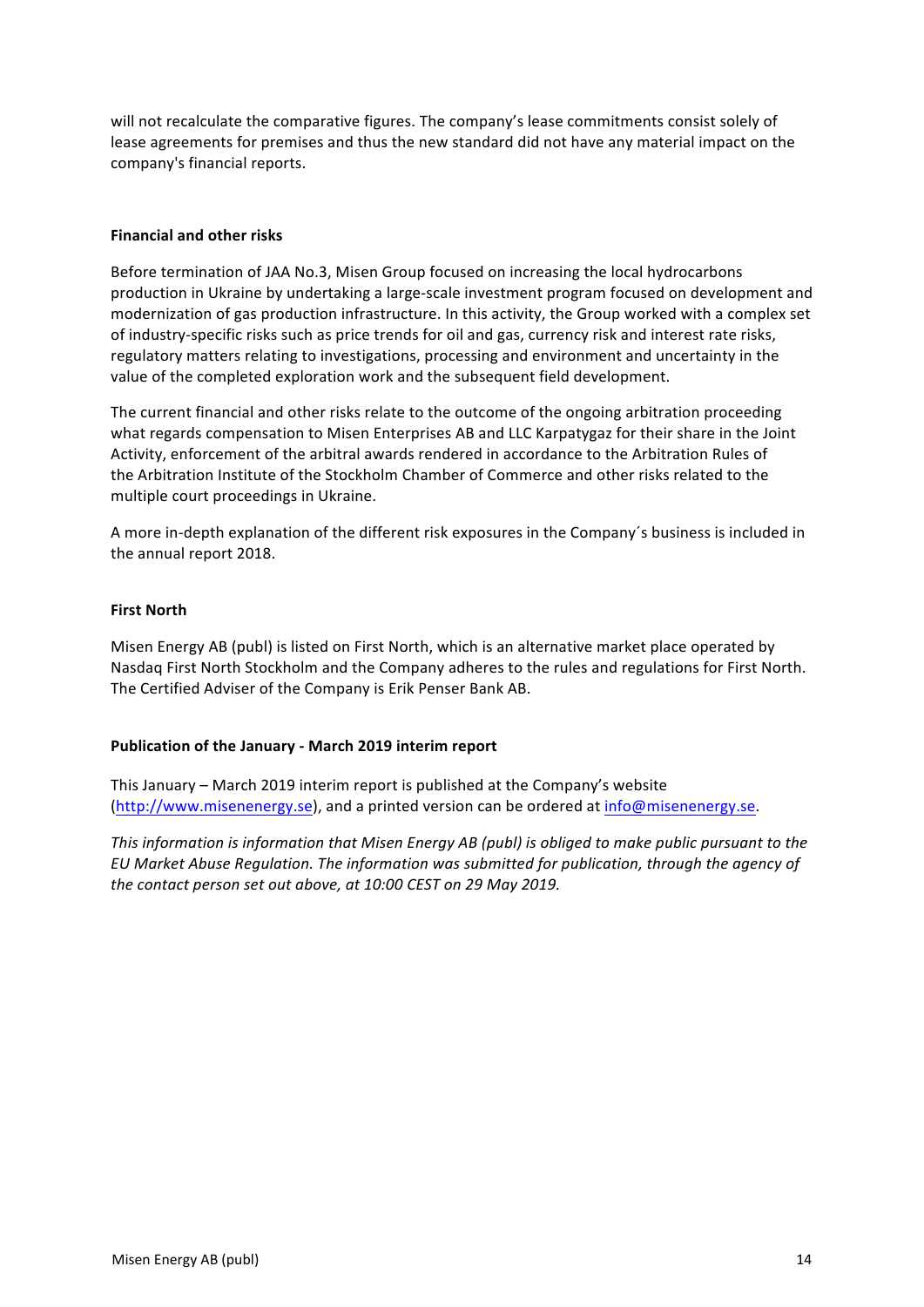will not recalculate the comparative figures. The company's lease commitments consist solely of lease agreements for premises and thus the new standard did not have any material impact on the company's financial reports.

### **Financial and other risks**

Before termination of JAA No.3, Misen Group focused on increasing the local hydrocarbons production in Ukraine by undertaking a large-scale investment program focused on development and modernization of gas production infrastructure. In this activity, the Group worked with a complex set of industry-specific risks such as price trends for oil and gas, currency risk and interest rate risks, regulatory matters relating to investigations, processing and environment and uncertainty in the value of the completed exploration work and the subsequent field development.

The current financial and other risks relate to the outcome of the ongoing arbitration proceeding what regards compensation to Misen Enterprises AB and LLC Karpatygaz for their share in the Joint Activity, enforcement of the arbitral awards rendered in accordance to the Arbitration Rules of the Arbitration Institute of the Stockholm Chamber of Commerce and other risks related to the multiple court proceedings in Ukraine.

A more in-depth explanation of the different risk exposures in the Company's business is included in the annual report 2018.

## **First North**

Misen Energy AB (publ) is listed on First North, which is an alternative market place operated by Nasdaq First North Stockholm and the Company adheres to the rules and regulations for First North. The Certified Adviser of the Company is Erik Penser Bank AB.

### **Publication of the January - March 2019 interim report**

This January – March 2019 interim report is published at the Company's website (http://www.misenenergy.se), and a printed version can be ordered at info@misenenergy.se.

*This information is information that Misen Energy AB (publ) is obliged to make public pursuant to the EU* Market Abuse Regulation. The information was submitted for publication, through the agency of *the contact person set out above, at 10:00 CEST on 29 May 2019.*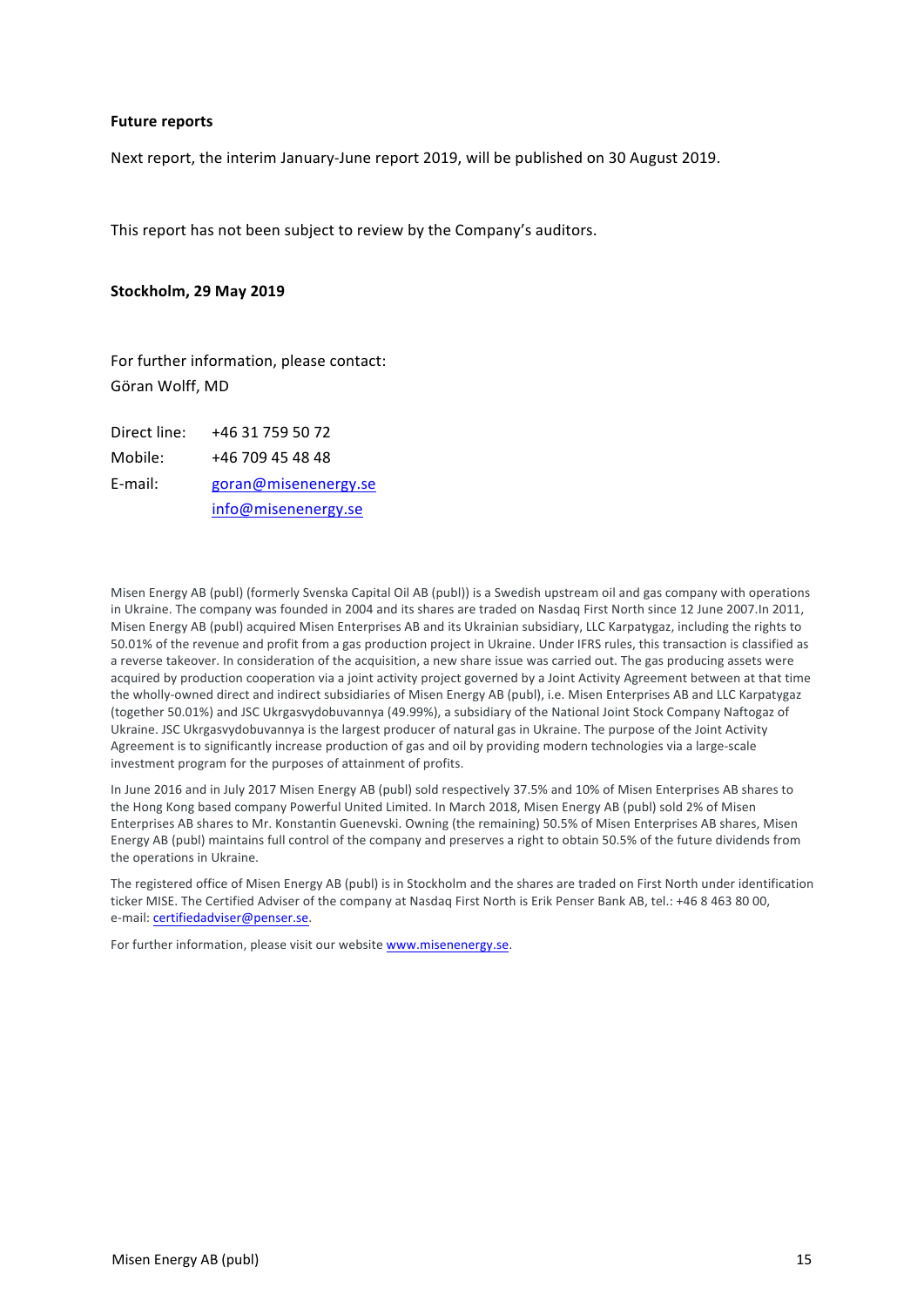#### **Future reports**

Next report, the interim January-June report 2019, will be published on 30 August 2019.

This report has not been subject to review by the Company's auditors.

#### **Stockholm, 29 May 2019**

For further information, please contact: Göran Wolff, MD

Direct line: +46 31 759 50 72 Mobile: +46 709 45 48 48 E-mail: goran@misenenergy.se info@misenenergy.se

Misen Energy AB (publ) (formerly Svenska Capital Oil AB (publ)) is a Swedish upstream oil and gas company with operations in Ukraine. The company was founded in 2004 and its shares are traded on Nasdaq First North since 12 June 2007.In 2011, Misen Energy AB (publ) acquired Misen Enterprises AB and its Ukrainian subsidiary, LLC Karpatygaz, including the rights to 50.01% of the revenue and profit from a gas production project in Ukraine. Under IFRS rules, this transaction is classified as a reverse takeover. In consideration of the acquisition, a new share issue was carried out. The gas producing assets were acquired by production cooperation via a joint activity project governed by a Joint Activity Agreement between at that time the wholly-owned direct and indirect subsidiaries of Misen Energy AB (publ), i.e. Misen Enterprises AB and LLC Karpatygaz (together 50.01%) and JSC Ukrgasvydobuvannya (49.99%), a subsidiary of the National Joint Stock Company Naftogaz of Ukraine. JSC Ukrgasvydobuvannya is the largest producer of natural gas in Ukraine. The purpose of the Joint Activity Agreement is to significantly increase production of gas and oil by providing modern technologies via a large-scale investment program for the purposes of attainment of profits.

In June 2016 and in July 2017 Misen Energy AB (publ) sold respectively 37.5% and 10% of Misen Enterprises AB shares to the Hong Kong based company Powerful United Limited. In March 2018, Misen Energy AB (publ) sold 2% of Misen Enterprises AB shares to Mr. Konstantin Guenevski. Owning (the remaining) 50.5% of Misen Enterprises AB shares, Misen Energy AB (publ) maintains full control of the company and preserves a right to obtain 50.5% of the future dividends from the operations in Ukraine.

The registered office of Misen Energy AB (publ) is in Stockholm and the shares are traded on First North under identification ticker MISE. The Certified Adviser of the company at Nasdaq First North is Erik Penser Bank AB, tel.: +46 8 463 80 00, e-mail: certifiedadviser@penser.se.

For further information, please visit our website www.misenenergy.se.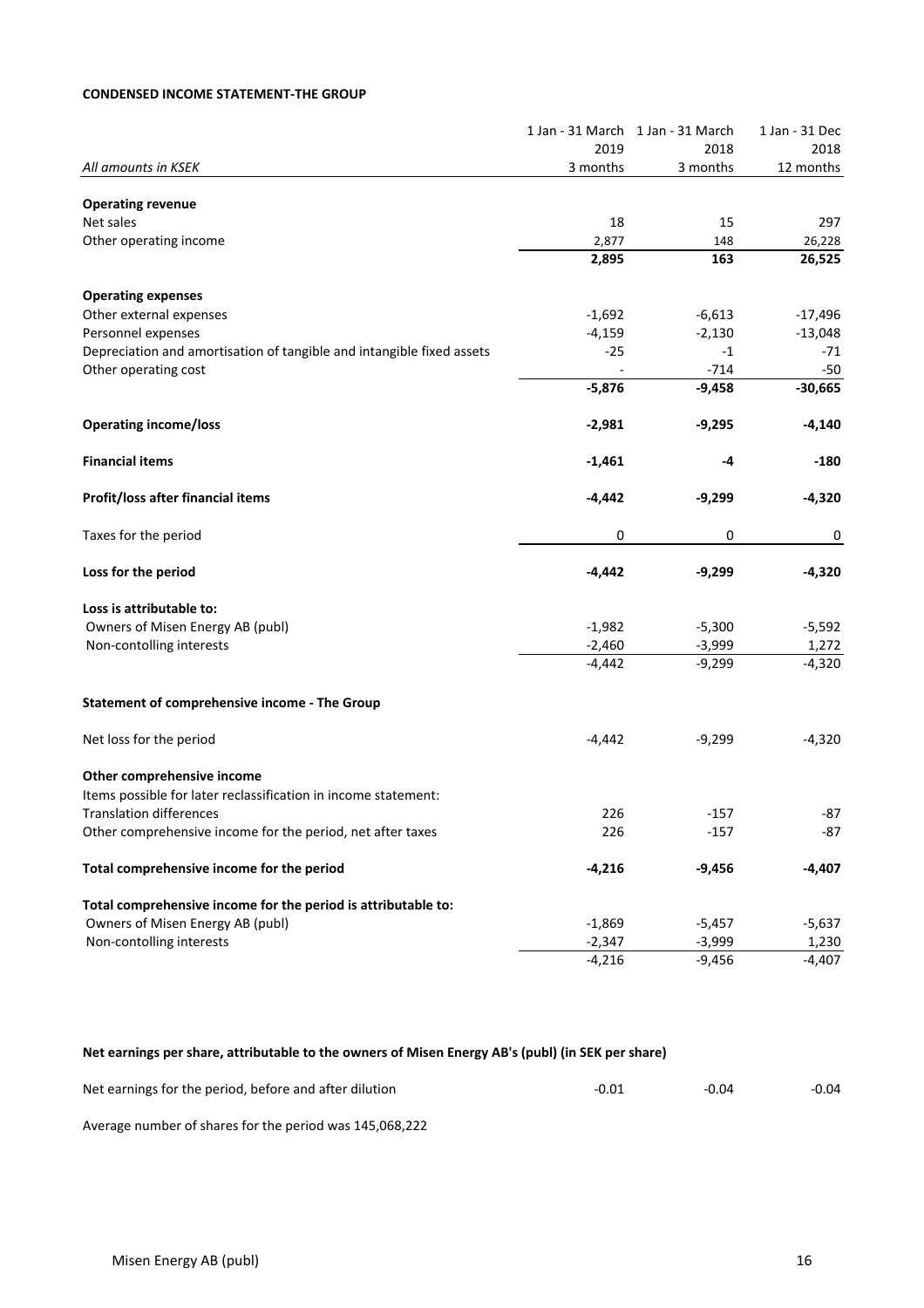### **CONDENSED INCOME STATEMENT-THE GROUP**

|                                                                       |          | 1 Jan - 31 March 1 Jan - 31 March | 1 Jan - 31 Dec |
|-----------------------------------------------------------------------|----------|-----------------------------------|----------------|
|                                                                       | 2019     | 2018                              | 2018           |
| All amounts in KSEK                                                   | 3 months | 3 months                          | 12 months      |
| <b>Operating revenue</b>                                              |          |                                   |                |
| Net sales                                                             | 18       | 15                                | 297            |
| Other operating income                                                | 2,877    | 148                               | 26,228         |
|                                                                       | 2,895    | 163                               | 26,525         |
| <b>Operating expenses</b>                                             |          |                                   |                |
| Other external expenses                                               | $-1,692$ | $-6,613$                          | $-17,496$      |
| Personnel expenses                                                    | $-4,159$ | $-2,130$                          | $-13,048$      |
| Depreciation and amortisation of tangible and intangible fixed assets | $-25$    | $-1$                              | -71            |
| Other operating cost                                                  |          | $-714$                            | $-50$          |
|                                                                       | $-5,876$ | $-9,458$                          | $-30,665$      |
| <b>Operating income/loss</b>                                          | $-2,981$ | $-9,295$                          | $-4,140$       |
| <b>Financial items</b>                                                | $-1,461$ | -4                                | -180           |
| Profit/loss after financial items                                     | $-4,442$ | $-9,299$                          | $-4,320$       |
| Taxes for the period                                                  | 0        | 0                                 | 0              |
| Loss for the period                                                   | $-4,442$ | $-9,299$                          | $-4,320$       |
| Loss is attributable to:                                              |          |                                   |                |
| Owners of Misen Energy AB (publ)                                      | $-1,982$ | $-5,300$                          | $-5,592$       |
| Non-contolling interests                                              | $-2,460$ | $-3,999$                          | 1,272          |
|                                                                       | $-4,442$ | $-9,299$                          | $-4,320$       |
| <b>Statement of comprehensive income - The Group</b>                  |          |                                   |                |
| Net loss for the period                                               | $-4,442$ | $-9,299$                          | $-4,320$       |
| Other comprehensive income                                            |          |                                   |                |
| Items possible for later reclassification in income statement:        |          |                                   |                |
| <b>Translation differences</b>                                        | 226      | -157                              | -87            |
| Other comprehensive income for the period, net after taxes            | 226      | $-157$                            | -87            |
| Total comprehensive income for the period                             | $-4,216$ | $-9,456$                          | -4,407         |
| Total comprehensive income for the period is attributable to:         |          |                                   |                |
| Owners of Misen Energy AB (publ)                                      | $-1,869$ | $-5,457$                          | $-5,637$       |
| Non-contolling interests                                              | $-2,347$ | $-3,999$                          | 1,230          |
|                                                                       | $-4,216$ | $-9,456$                          | $-4,407$       |

## Net earnings per share, attributable to the owners of Misen Energy AB's (publ) (in SEK per share)

| Net earnings for the period, before and after dilution | -0.01 | $-0.04$ | $-0.04$ |
|--------------------------------------------------------|-------|---------|---------|
|--------------------------------------------------------|-------|---------|---------|

Average number of shares for the period was 145,068,222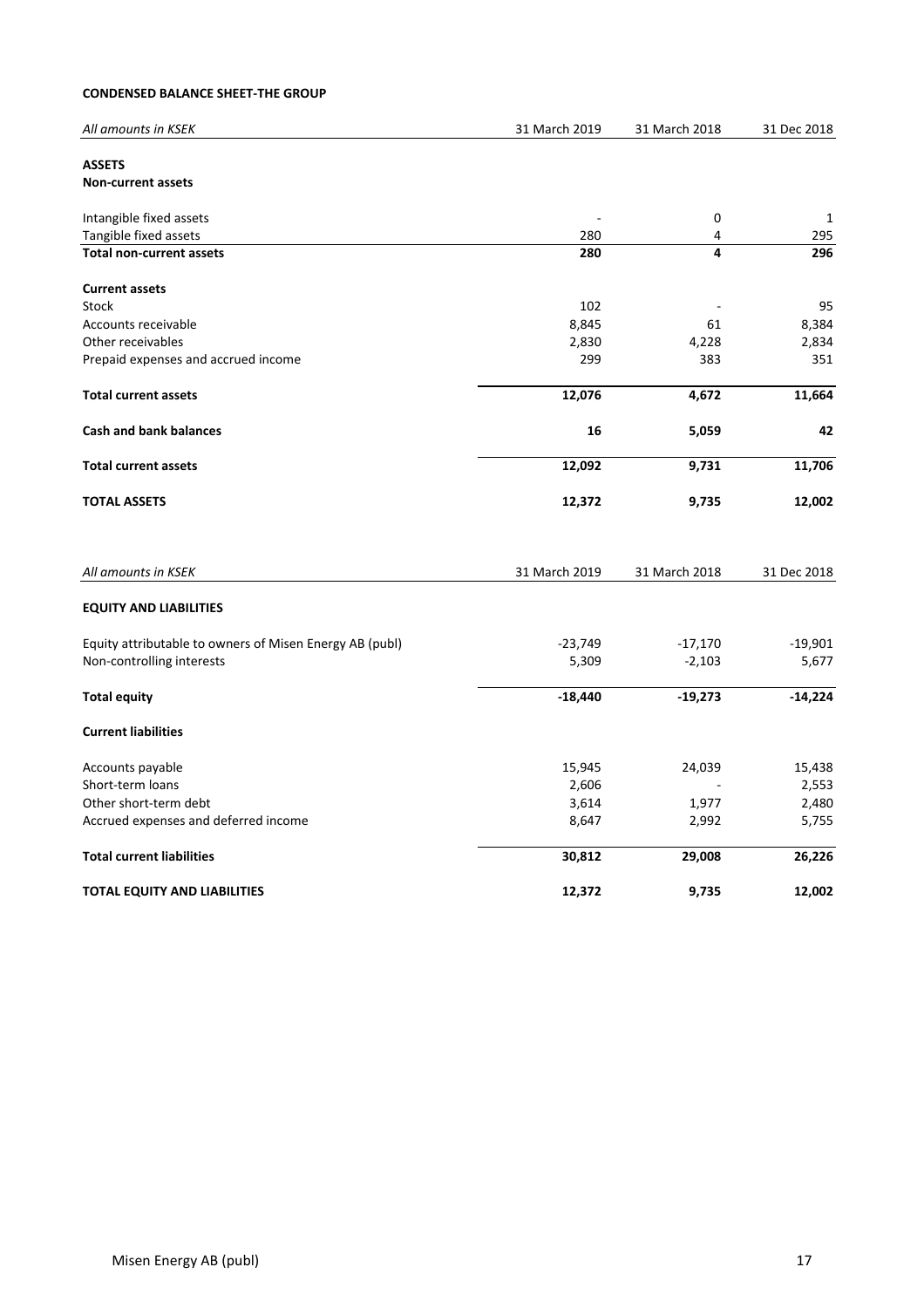### **CONDENSED BALANCE SHEET-THE GROUP**

| All amounts in KSEK                                     | 31 March 2019 | 31 March 2018 | 31 Dec 2018 |
|---------------------------------------------------------|---------------|---------------|-------------|
| <b>ASSETS</b>                                           |               |               |             |
| <b>Non-current assets</b>                               |               |               |             |
| Intangible fixed assets                                 |               | 0             | 1           |
| Tangible fixed assets                                   | 280           | 4             | 295         |
| <b>Total non-current assets</b>                         | 280           | 4             | 296         |
| <b>Current assets</b>                                   |               |               |             |
| Stock                                                   | 102           |               | 95          |
| Accounts receivable                                     | 8,845         | 61            | 8,384       |
| Other receivables                                       | 2,830         | 4,228         | 2,834       |
| Prepaid expenses and accrued income                     | 299           | 383           | 351         |
| <b>Total current assets</b>                             | 12,076        | 4,672         | 11,664      |
| <b>Cash and bank balances</b>                           | 16            | 5,059         | 42          |
| <b>Total current assets</b>                             | 12,092        | 9,731         | 11,706      |
| <b>TOTAL ASSETS</b>                                     | 12,372        | 9,735         | 12,002      |
| All amounts in KSEK                                     | 31 March 2019 | 31 March 2018 | 31 Dec 2018 |
|                                                         |               |               |             |
| <b>EQUITY AND LIABILITIES</b>                           |               |               |             |
| Equity attributable to owners of Misen Energy AB (publ) | $-23,749$     | $-17,170$     | $-19,901$   |
| Non-controlling interests                               | 5,309         | $-2,103$      | 5,677       |
| <b>Total equity</b>                                     | $-18,440$     | $-19,273$     | $-14,224$   |
| <b>Current liabilities</b>                              |               |               |             |
| Accounts payable                                        | 15,945        | 24,039        | 15,438      |
| Short-term loans                                        | 2,606         |               | 2,553       |
| Other short-term debt                                   | 3,614         | 1,977         | 2,480       |
| Accrued expenses and deferred income                    | 8,647         | 2,992         | 5,755       |
| <b>Total current liabilities</b>                        | 30,812        | 29,008        | 26,226      |
| <b>TOTAL EQUITY AND LIABILITIES</b>                     | 12,372        | 9,735         | 12,002      |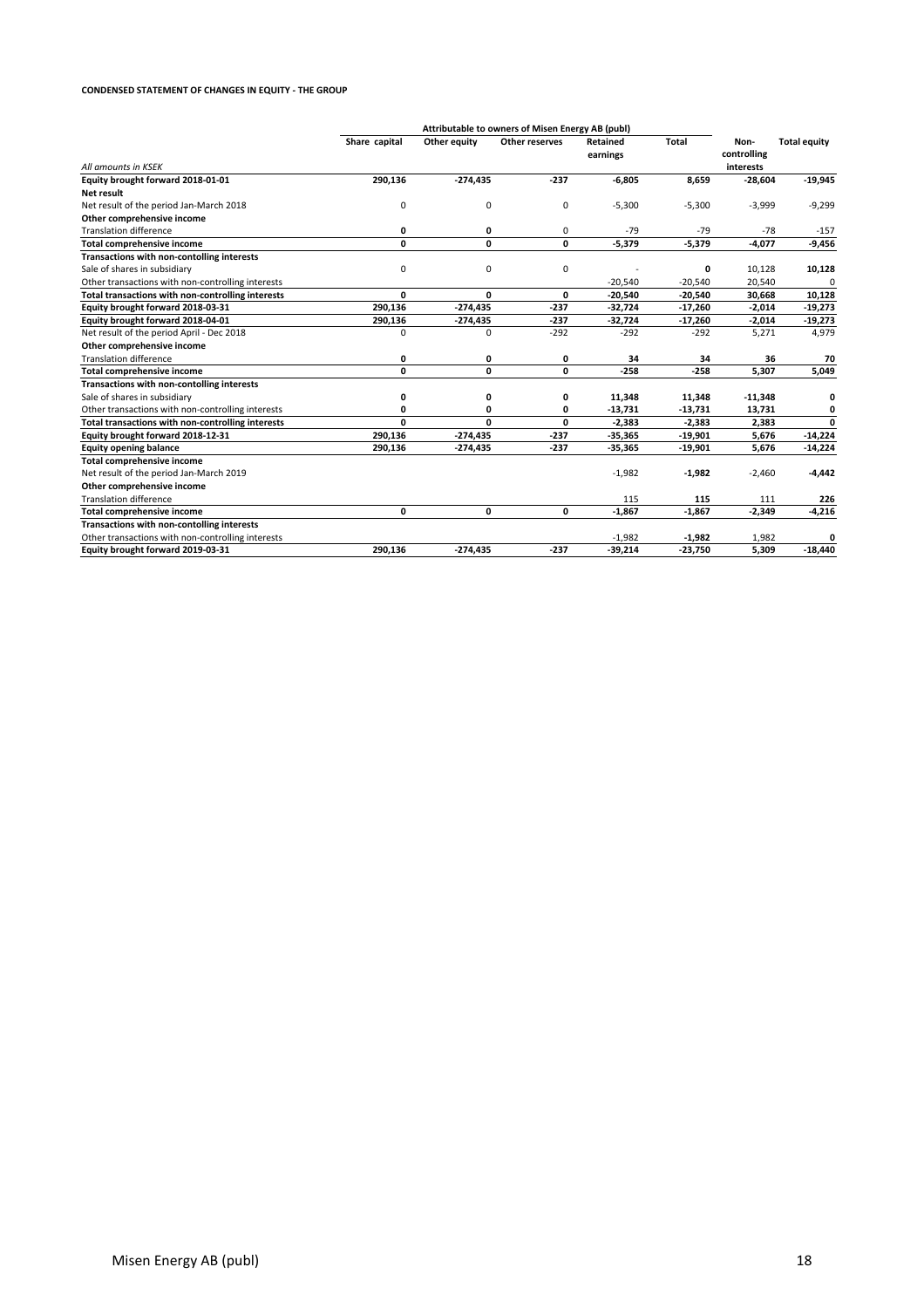#### **CONDENSED STATEMENT OF CHANGES IN EQUITY - THE GROUP**

|                                                   |               |              | Attributable to owners of Misen Energy AB (publ) |                             |              |                                  |                     |
|---------------------------------------------------|---------------|--------------|--------------------------------------------------|-----------------------------|--------------|----------------------------------|---------------------|
| All amounts in KSEK                               | Share capital | Other equity | Other reserves                                   | <b>Retained</b><br>earnings | <b>Total</b> | Non-<br>controlling<br>interests | <b>Total equity</b> |
| Equity brought forward 2018-01-01                 | 290,136       | $-274,435$   | $-237$                                           | $-6,805$                    | 8,659        | $-28,604$                        | $-19,945$           |
| <b>Net result</b>                                 |               |              |                                                  |                             |              |                                  |                     |
| Net result of the period Jan-March 2018           | 0             | 0            | $\mathbf 0$                                      | $-5,300$                    | $-5,300$     | $-3,999$                         | $-9,299$            |
| Other comprehensive income                        |               |              |                                                  |                             |              |                                  |                     |
| <b>Translation difference</b>                     | 0             | 0            | 0                                                | $-79$                       | $-79$        | $-78$                            | $-157$              |
| <b>Total comprehensive income</b>                 | 0             | 0            | 0                                                | $-5,379$                    | $-5,379$     | $-4,077$                         | $-9,456$            |
| Transactions with non-contolling interests        |               |              |                                                  |                             |              |                                  |                     |
| Sale of shares in subsidiary                      | 0             | $\mathbf 0$  | $\mathbf 0$                                      |                             | 0            | 10,128                           | 10,128              |
| Other transactions with non-controlling interests |               |              |                                                  | $-20,540$                   | $-20,540$    | 20,540                           |                     |
| Total transactions with non-controlling interests | 0             | 0            | 0                                                | $-20,540$                   | $-20,540$    | 30,668                           | 10,128              |
| Equity brought forward 2018-03-31                 | 290,136       | $-274,435$   | $-237$                                           | $-32,724$                   | $-17,260$    | $-2,014$                         | $-19,273$           |
| Equity brought forward 2018-04-01                 | 290,136       | $-274,435$   | $-237$                                           | $-32,724$                   | $-17,260$    | $-2,014$                         | $-19,273$           |
| Net result of the period April - Dec 2018         | $\Omega$      | $\mathbf 0$  | $-292$                                           | $-292$                      | $-292$       | 5,271                            | 4,979               |
| Other comprehensive income                        |               |              |                                                  |                             |              |                                  |                     |
| <b>Translation difference</b>                     | 0             | 0            | 0                                                | 34                          | 34           | 36                               | 70                  |
| <b>Total comprehensive income</b>                 | 0             | 0            | 0                                                | $-258$                      | $-258$       | 5,307                            | 5,049               |
| Transactions with non-contolling interests        |               |              |                                                  |                             |              |                                  |                     |
| Sale of shares in subsidiary                      | 0             | 0            | 0                                                | 11,348                      | 11,348       | $-11,348$                        | 0                   |
| Other transactions with non-controlling interests | 0             | 0            | 0                                                | $-13,731$                   | $-13,731$    | 13,731                           | 0                   |
| Total transactions with non-controlling interests | O.            | 0            | 0                                                | $-2,383$                    | $-2,383$     | 2,383                            | $\Omega$            |
| Equity brought forward 2018-12-31                 | 290,136       | $-274,435$   | $-237$                                           | $-35,365$                   | $-19,901$    | 5,676                            | $-14,224$           |
| <b>Equity opening balance</b>                     | 290,136       | -274,435     | $-237$                                           | $-35,365$                   | $-19,901$    | 5,676                            | $-14,224$           |
| <b>Total comprehensive income</b>                 |               |              |                                                  |                             |              |                                  |                     |
| Net result of the period Jan-March 2019           |               |              |                                                  | $-1,982$                    | $-1,982$     | $-2,460$                         | $-4,442$            |
| Other comprehensive income                        |               |              |                                                  |                             |              |                                  |                     |
| <b>Translation difference</b>                     |               |              |                                                  | 115                         | 115          | 111                              | 226                 |
| <b>Total comprehensive income</b>                 | 0             | 0            | 0                                                | $-1,867$                    | $-1,867$     | $-2,349$                         | $-4,216$            |
| Transactions with non-contolling interests        |               |              |                                                  |                             |              |                                  |                     |
| Other transactions with non-controlling interests |               |              |                                                  | $-1,982$                    | $-1,982$     | 1,982                            | O                   |
| Equity brought forward 2019-03-31                 | 290,136       | $-274,435$   | $-237$                                           | $-39,214$                   | $-23,750$    | 5,309                            | $-18,440$           |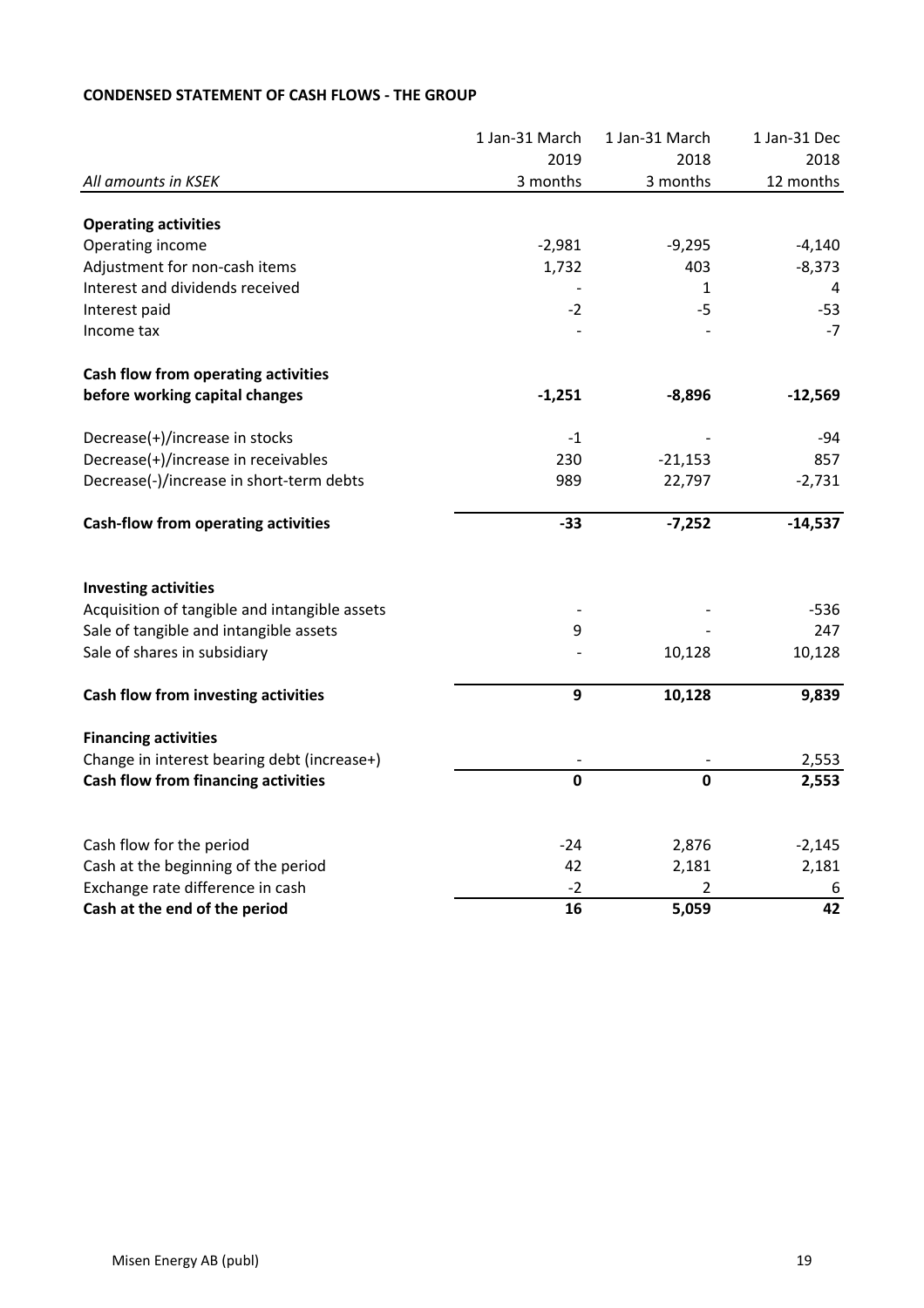|                                                                         | 1 Jan-31 March | 1 Jan-31 March          | 1 Jan-31 Dec |
|-------------------------------------------------------------------------|----------------|-------------------------|--------------|
|                                                                         | 2019           | 2018                    | 2018         |
| All amounts in KSEK                                                     | 3 months       | 3 months                | 12 months    |
| <b>Operating activities</b>                                             |                |                         |              |
| Operating income                                                        | $-2,981$       | $-9,295$                | $-4,140$     |
| Adjustment for non-cash items                                           | 1,732          | 403                     | $-8,373$     |
| Interest and dividends received                                         |                | $\mathbf{1}$            | 4            |
| Interest paid                                                           | $-2$           | $-5$                    | $-53$        |
| Income tax                                                              |                |                         | $-7$         |
| Cash flow from operating activities                                     |                |                         |              |
| before working capital changes                                          | $-1,251$       | $-8,896$                | $-12,569$    |
| Decrease(+)/increase in stocks                                          | $-1$           |                         | $-94$        |
| Decrease(+)/increase in receivables                                     | 230            | $-21,153$               | 857          |
| Decrease(-)/increase in short-term debts                                | 989            | 22,797                  | $-2,731$     |
| <b>Cash-flow from operating activities</b>                              | $-33$          | $-7,252$                | $-14,537$    |
| <b>Investing activities</b>                                             |                |                         |              |
| Acquisition of tangible and intangible assets                           |                |                         | $-536$       |
| Sale of tangible and intangible assets                                  | 9              |                         | 247          |
| Sale of shares in subsidiary                                            |                | 10,128                  | 10,128       |
| Cash flow from investing activities                                     | 9              | 10,128                  | 9,839        |
| <b>Financing activities</b>                                             |                |                         |              |
| Change in interest bearing debt (increase+)                             |                |                         | 2,553        |
| Cash flow from financing activities                                     | $\mathbf 0$    | $\mathbf 0$             | 2,553        |
|                                                                         | $-24$          |                         |              |
| Cash flow for the period                                                | 42             | 2,876                   | $-2,145$     |
| Cash at the beginning of the period<br>Exchange rate difference in cash | $-2$           | 2,181<br>$\overline{2}$ | 2,181        |
| Cash at the end of the period                                           | 16             | 5,059                   | 6<br>42      |
|                                                                         |                |                         |              |

# **CONDENSED STATEMENT OF CASH FLOWS - THE GROUP**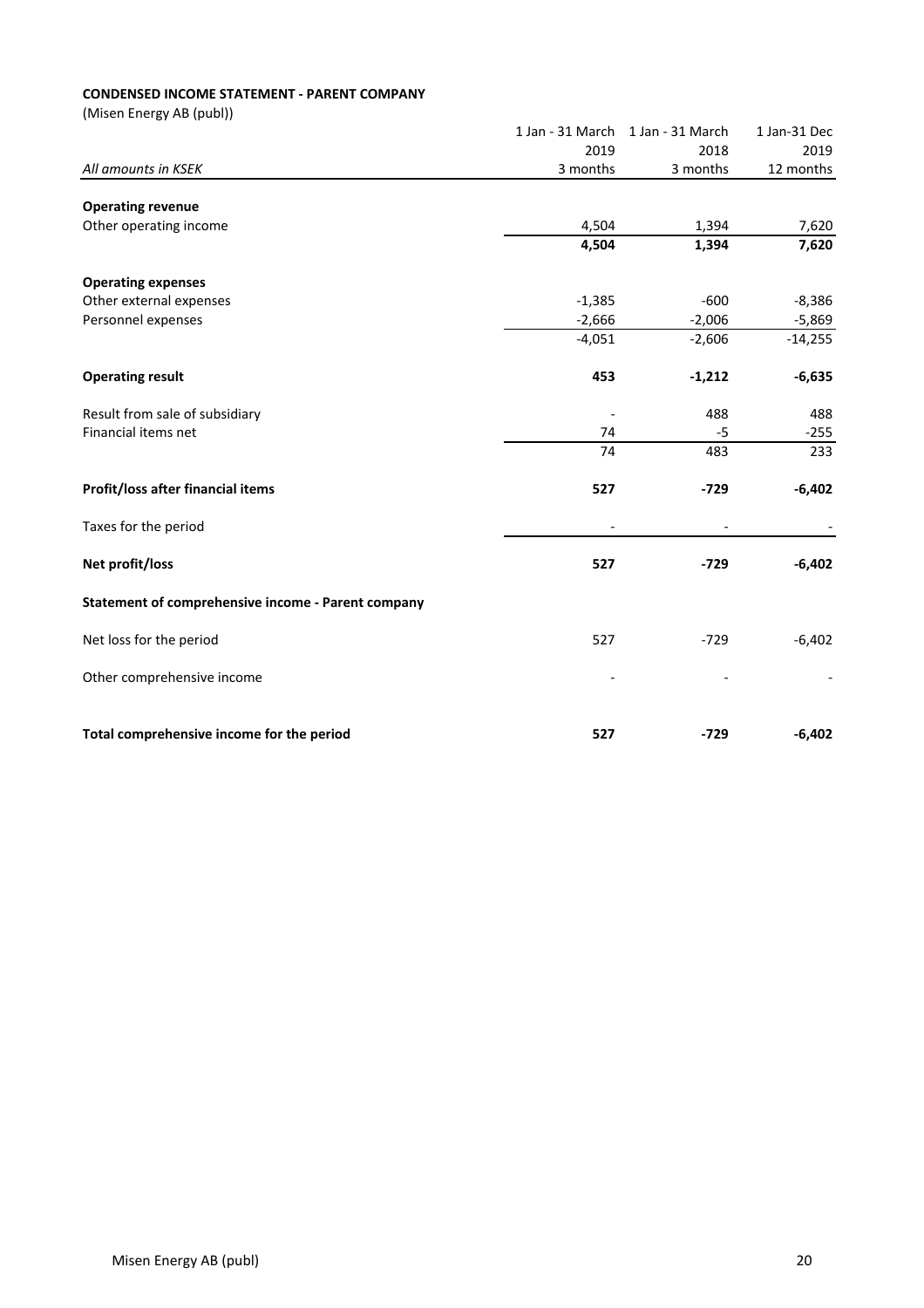## **CONDENSED INCOME STATEMENT - PARENT COMPANY**

|                                                    | 1 Jan - 31 March         | 1 Jan - 31 March     | 1 Jan-31 Dec          |
|----------------------------------------------------|--------------------------|----------------------|-----------------------|
|                                                    | 2019                     | 2018                 | 2019                  |
| All amounts in KSEK                                | 3 months                 | 3 months             | 12 months             |
|                                                    |                          |                      |                       |
| <b>Operating revenue</b><br>Other operating income | 4,504                    | 1,394                | 7,620                 |
|                                                    | 4,504                    | 1,394                | 7,620                 |
|                                                    |                          |                      |                       |
| <b>Operating expenses</b>                          |                          |                      |                       |
| Other external expenses                            | $-1,385$                 | $-600$               | $-8,386$              |
| Personnel expenses                                 | $-2,666$<br>$-4,051$     | $-2,006$<br>$-2,606$ | $-5,869$<br>$-14,255$ |
|                                                    |                          |                      |                       |
| <b>Operating result</b>                            | 453                      | $-1,212$             | $-6,635$              |
| Result from sale of subsidiary                     | $\overline{a}$           | 488                  | 488                   |
| Financial items net                                | 74                       | -5                   | $-255$                |
|                                                    | 74                       | 483                  | 233                   |
| Profit/loss after financial items                  | 527                      | $-729$               | $-6,402$              |
| Taxes for the period                               | $\overline{\phantom{a}}$ |                      |                       |
| Net profit/loss                                    | 527                      | $-729$               | $-6,402$              |
| Statement of comprehensive income - Parent company |                          |                      |                       |
| Net loss for the period                            | 527                      | $-729$               | $-6,402$              |
| Other comprehensive income                         |                          |                      |                       |
|                                                    |                          |                      |                       |
| Total comprehensive income for the period          | 527                      | $-729$               | $-6,402$              |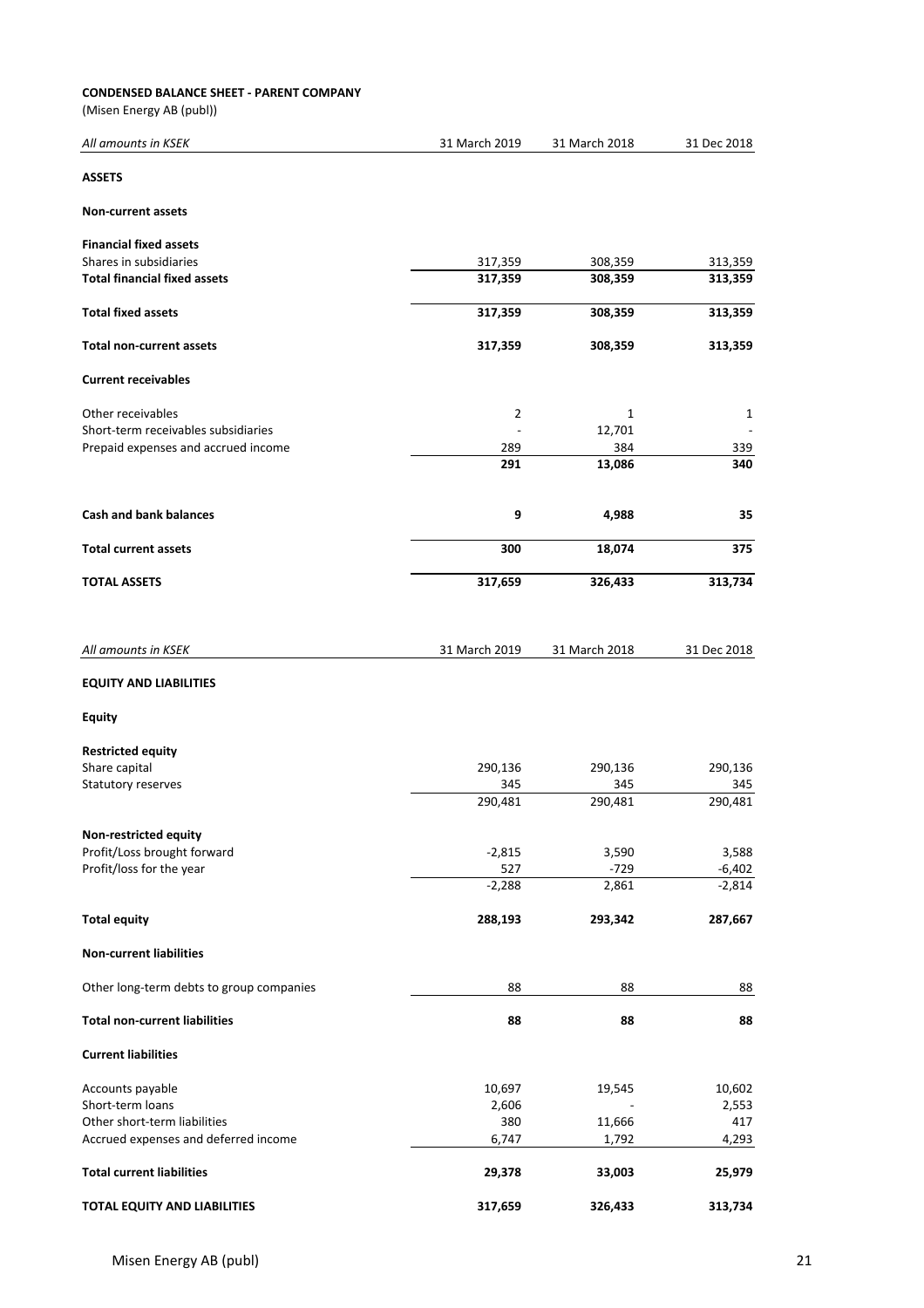### **CONDENSED BALANCE SHEET - PARENT COMPANY**

| All amounts in KSEK                      | 31 March 2019 | 31 March 2018 | 31 Dec 2018 |
|------------------------------------------|---------------|---------------|-------------|
| <b>ASSETS</b>                            |               |               |             |
| <b>Non-current assets</b>                |               |               |             |
| <b>Financial fixed assets</b>            |               |               |             |
| Shares in subsidiaries                   | 317,359       | 308,359       | 313,359     |
| <b>Total financial fixed assets</b>      | 317,359       | 308,359       | 313,359     |
| <b>Total fixed assets</b>                | 317,359       | 308,359       | 313,359     |
| <b>Total non-current assets</b>          | 317,359       | 308,359       | 313,359     |
| <b>Current receivables</b>               |               |               |             |
| Other receivables                        | 2             | 1             | 1           |
| Short-term receivables subsidiaries      |               | 12,701        |             |
| Prepaid expenses and accrued income      | 289           | 384           | 339         |
|                                          | 291           | 13,086        | 340         |
| <b>Cash and bank balances</b>            | 9             | 4,988         | 35          |
| <b>Total current assets</b>              | 300           | 18,074        | 375         |
| <b>TOTAL ASSETS</b>                      | 317,659       | 326,433       | 313,734     |
| All amounts in KSEK                      | 31 March 2019 | 31 March 2018 | 31 Dec 2018 |
| <b>EQUITY AND LIABILITIES</b>            |               |               |             |
| <b>Equity</b>                            |               |               |             |
| <b>Restricted equity</b>                 |               |               |             |
| Share capital                            | 290,136       | 290,136       | 290,136     |
| Statutory reserves                       | 345           | 345           | 345         |
|                                          | 290,481       | 290,481       | 290,481     |
| Non-restricted equity                    |               |               |             |
| Profit/Loss brought forward              | $-2,815$      | 3,590         | 3,588       |
| Profit/loss for the year                 | 527           | $-729$        | $-6,402$    |
|                                          | $-2,288$      | 2,861         | $-2,814$    |
| <b>Total equity</b>                      | 288,193       | 293,342       | 287,667     |
| <b>Non-current liabilities</b>           |               |               |             |
| Other long-term debts to group companies | 88            | 88            | 88          |
| <b>Total non-current liabilities</b>     | 88            | 88            | 88          |
| <b>Current liabilities</b>               |               |               |             |
| Accounts payable                         | 10,697        | 19,545        | 10,602      |
| Short-term loans                         | 2,606         |               | 2,553       |
| Other short-term liabilities             | 380           | 11,666        | 417         |
| Accrued expenses and deferred income     | 6,747         | 1,792         | 4,293       |
| <b>Total current liabilities</b>         | 29,378        | 33,003        | 25,979      |
|                                          |               |               |             |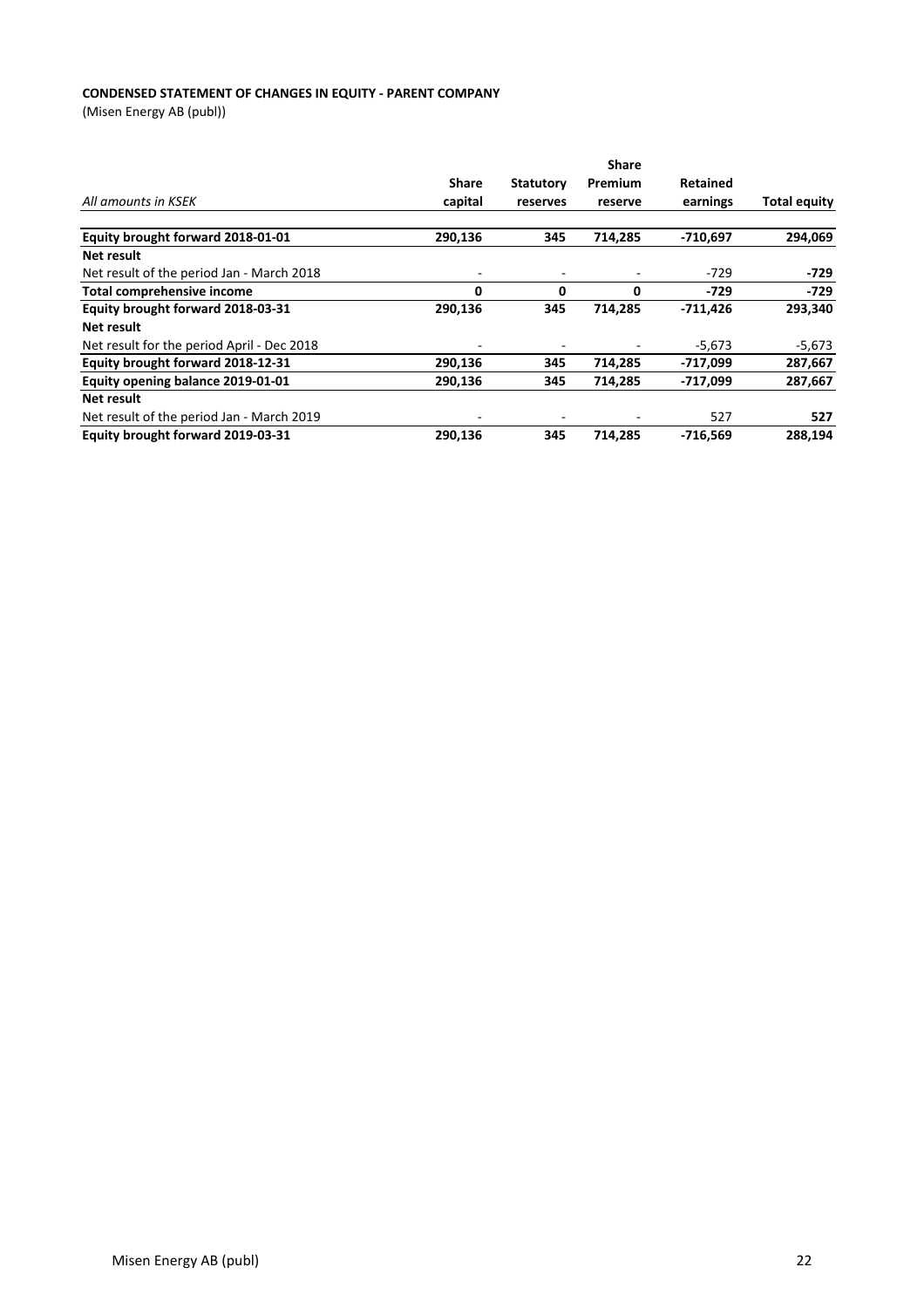### **CONDENSED STATEMENT OF CHANGES IN EQUITY - PARENT COMPANY**

|                                            |                          |                  | <b>Share</b> |                 |              |
|--------------------------------------------|--------------------------|------------------|--------------|-----------------|--------------|
|                                            | <b>Share</b>             | <b>Statutory</b> | Premium      | <b>Retained</b> |              |
| All amounts in KSEK                        | capital                  | reserves         | reserve      | earnings        | Total equity |
| Equity brought forward 2018-01-01          | 290,136                  | 345              | 714,285      | -710,697        | 294,069      |
| Net result                                 |                          |                  |              |                 |              |
| Net result of the period Jan - March 2018  | ۰                        |                  |              | $-729$          | $-729$       |
| Total comprehensive income                 | 0                        | 0                | 0            | $-729$          | -729         |
| Equity brought forward 2018-03-31          | 290,136                  | 345              | 714.285      | $-711,426$      | 293,340      |
| Net result                                 |                          |                  |              |                 |              |
| Net result for the period April - Dec 2018 | $\overline{\phantom{0}}$ |                  |              | $-5,673$        | $-5,673$     |
| Equity brought forward 2018-12-31          | 290,136                  | 345              | 714,285      | -717,099        | 287,667      |
| Equity opening balance 2019-01-01          | 290,136                  | 345              | 714,285      | $-717,099$      | 287,667      |
| Net result                                 |                          |                  |              |                 |              |
| Net result of the period Jan - March 2019  | ٠                        |                  |              | 527             | 527          |
| Equity brought forward 2019-03-31          | 290.136                  | 345              | 714.285      | $-716.569$      | 288.194      |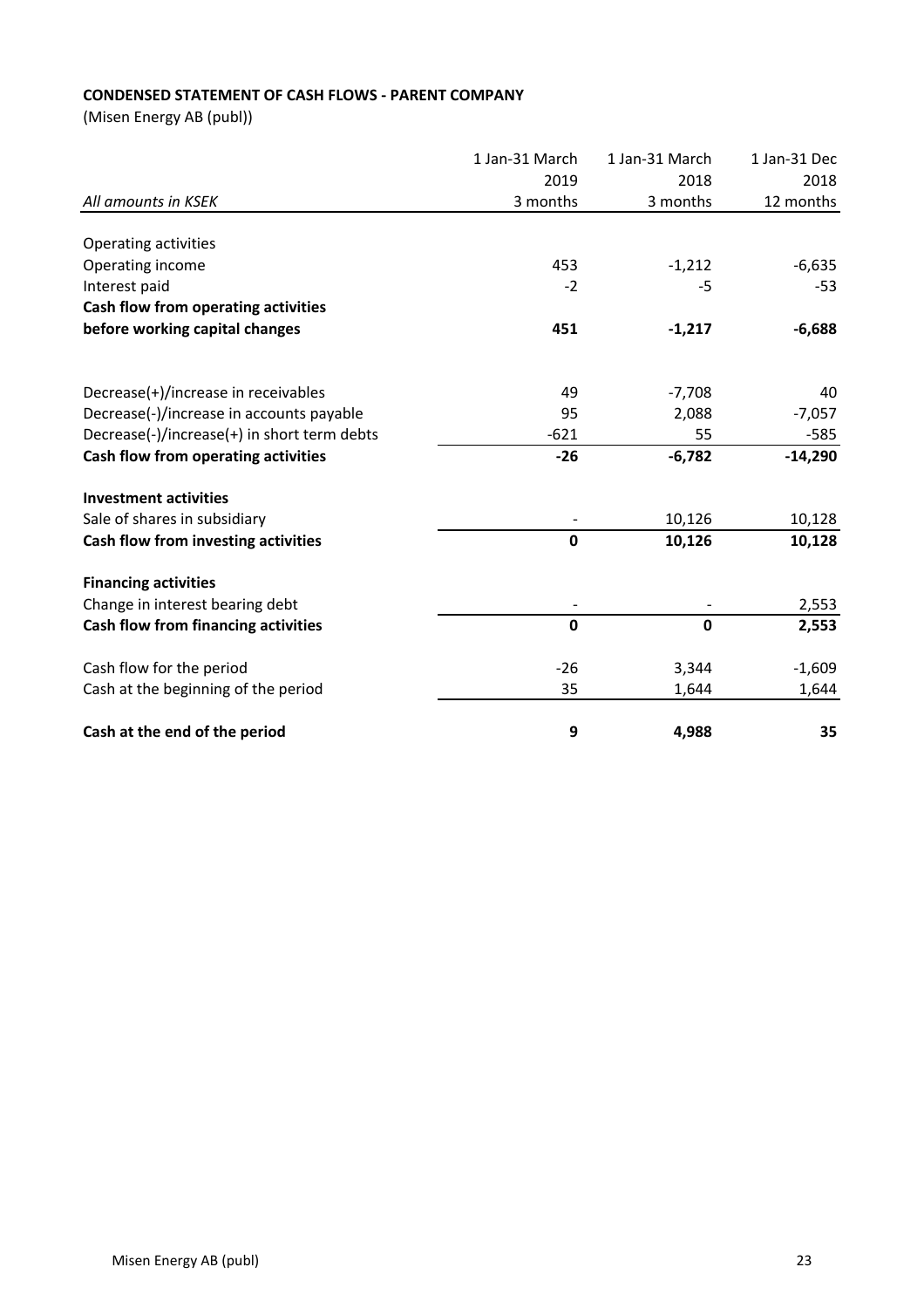# **CONDENSED STATEMENT OF CASH FLOWS - PARENT COMPANY**

|                                             | 1 Jan-31 March | 1 Jan-31 March | 1 Jan-31 Dec |
|---------------------------------------------|----------------|----------------|--------------|
|                                             | 2019           | 2018           | 2018         |
| All amounts in KSEK                         | 3 months       | 3 months       | 12 months    |
| Operating activities                        |                |                |              |
| Operating income                            | 453            | $-1,212$       | $-6,635$     |
| Interest paid                               | $-2$           | -5             | -53          |
| Cash flow from operating activities         |                |                |              |
| before working capital changes              | 451            | $-1,217$       | $-6,688$     |
| Decrease(+)/increase in receivables         | 49             | $-7,708$       | 40           |
| Decrease(-)/increase in accounts payable    | 95             | 2,088          | $-7,057$     |
| Decrease(-)/increase(+) in short term debts | $-621$         | 55             | $-585$       |
| Cash flow from operating activities         | $-26$          | $-6,782$       | $-14,290$    |
| <b>Investment activities</b>                |                |                |              |
| Sale of shares in subsidiary                |                | 10,126         | 10,128       |
| Cash flow from investing activities         | $\pmb{0}$      | 10,126         | 10,128       |
| <b>Financing activities</b>                 |                |                |              |
| Change in interest bearing debt             |                |                | 2,553        |
| Cash flow from financing activities         | $\mathbf 0$    | $\mathbf 0$    | 2,553        |
| Cash flow for the period                    | $-26$          | 3,344          | $-1,609$     |
| Cash at the beginning of the period         | 35             | 1,644          | 1,644        |
| Cash at the end of the period               | 9              | 4,988          | 35           |